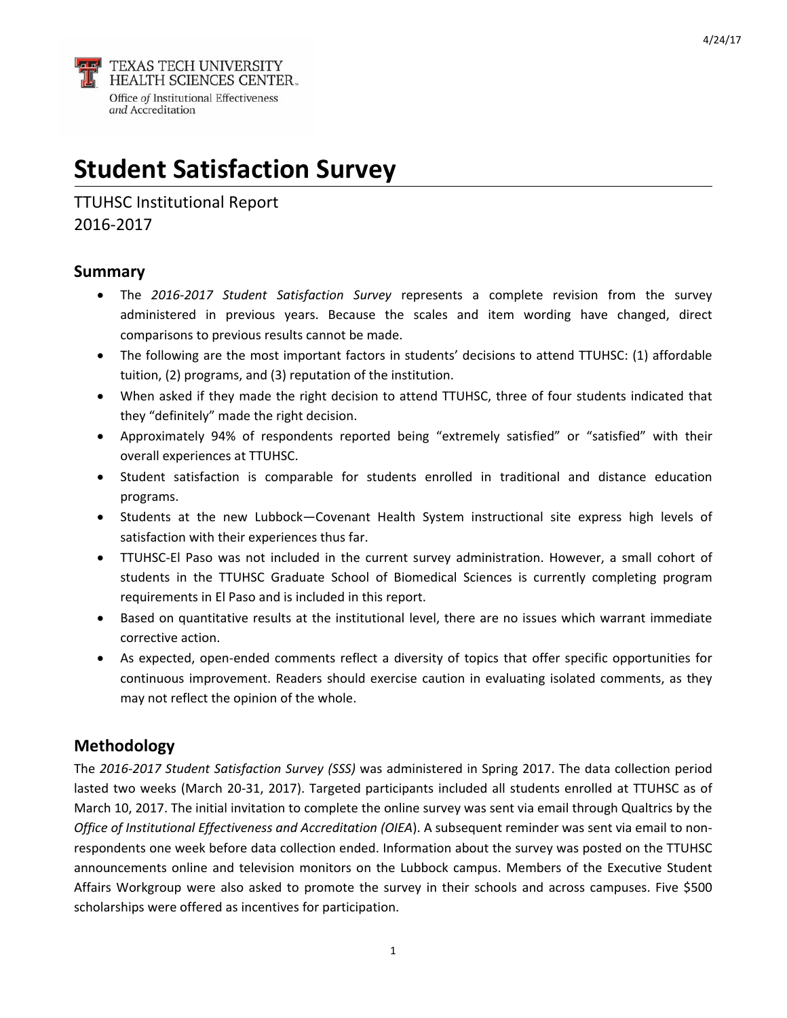**TEXAS TECH UNIVERSITY<br>HEALTH SCIENCES CENTER.**<br>Office of Institutional Effectiveness and Accreditation

# **Student Satisfaction Survey**

TTUHSC Institutional Report 2016‐2017

## **Summary**

- The *2016‐2017 Student Satisfaction Survey* represents a complete revision from the survey administered in previous years. Because the scales and item wording have changed, direct comparisons to previous results cannot be made.
- The following are the most important factors in students' decisions to attend TTUHSC: (1) affordable tuition, (2) programs, and (3) reputation of the institution.
- When asked if they made the right decision to attend TTUHSC, three of four students indicated that they "definitely" made the right decision.
- Approximately 94% of respondents reported being "extremely satisfied" or "satisfied" with their overall experiences at TTUHSC.
- Student satisfaction is comparable for students enrolled in traditional and distance education programs.
- Students at the new Lubbock—Covenant Health System instructional site express high levels of satisfaction with their experiences thus far.
- TTUHSC‐El Paso was not included in the current survey administration. However, a small cohort of students in the TTUHSC Graduate School of Biomedical Sciences is currently completing program requirements in El Paso and is included in this report.
- Based on quantitative results at the institutional level, there are no issues which warrant immediate corrective action.
- As expected, open‐ended comments reflect a diversity of topics that offer specific opportunities for continuous improvement. Readers should exercise caution in evaluating isolated comments, as they may not reflect the opinion of the whole.

# **Methodology**

The *2016‐2017 Student Satisfaction Survey (SSS)* was administered in Spring 2017. The data collection period lasted two weeks (March 20‐31, 2017). Targeted participants included all students enrolled at TTUHSC as of March 10, 2017. The initial invitation to complete the online survey was sent via email through Qualtrics by the *Office of Institutional Effectiveness and Accreditation (OIEA*). A subsequent reminder was sent via email to non‐ respondents one week before data collection ended. Information about the survey was posted on the TTUHSC announcements online and television monitors on the Lubbock campus. Members of the Executive Student Affairs Workgroup were also asked to promote the survey in their schools and across campuses. Five \$500 scholarships were offered as incentives for participation.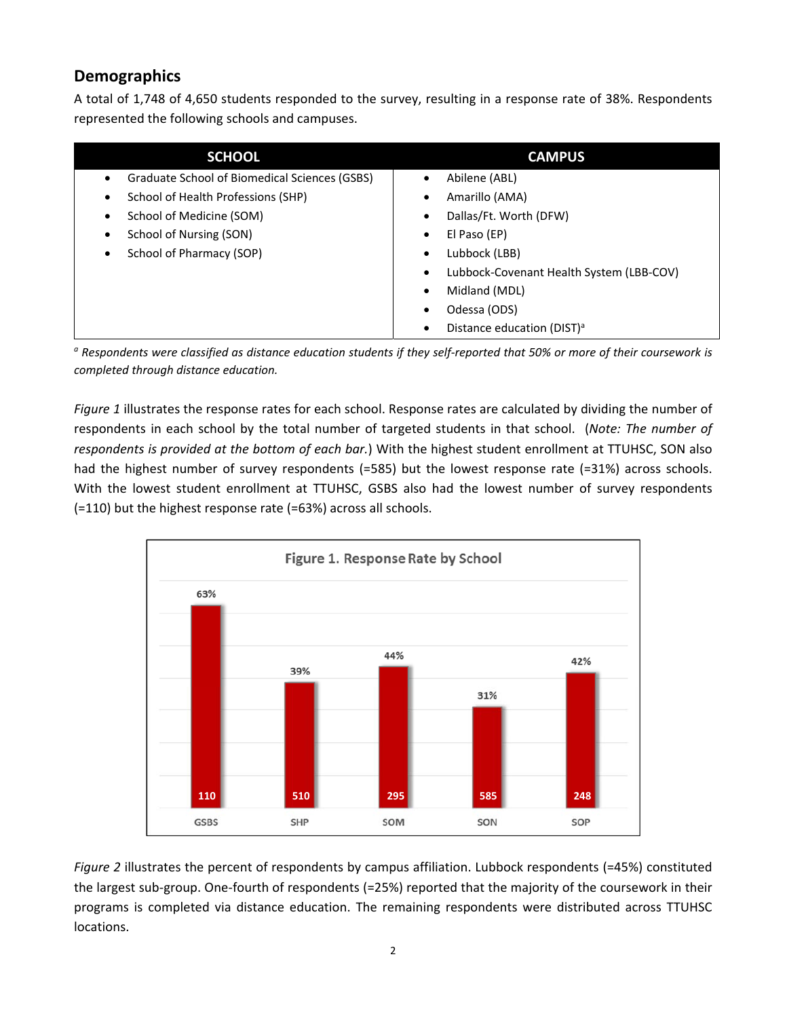# **Demographics**

A total of 1,748 of 4,650 students responded to the survey, resulting in a response rate of 38%. Respondents represented the following schools and campuses.

| <b>SCHOOL</b>                                   | <b>CAMPUS</b>                                 |
|-------------------------------------------------|-----------------------------------------------|
| Graduate School of Biomedical Sciences (GSBS)   | Abilene (ABL)<br>$\bullet$                    |
| School of Health Professions (SHP)<br>$\bullet$ | Amarillo (AMA)<br>٠                           |
| School of Medicine (SOM)                        | Dallas/Ft. Worth (DFW)<br>٠                   |
| School of Nursing (SON)                         | El Paso (EP)<br>٠                             |
| School of Pharmacy (SOP)<br>٠                   | Lubbock (LBB)<br>$\bullet$                    |
|                                                 | Lubbock-Covenant Health System (LBB-COV)<br>٠ |
|                                                 | Midland (MDL)<br>$\bullet$                    |
|                                                 | Odessa (ODS)<br>٠                             |
|                                                 | Distance education (DIST) <sup>a</sup><br>٠   |

<sup>a</sup> Respondents were classified as distance education students if they self-reported that 50% or more of their coursework is *completed through distance education.*

*Figure 1* illustrates the response rates for each school. Response rates are calculated by dividing the number of respondents in each school by the total number of targeted students in that school. (*Note: The number of respondents is provided at the bottom of each bar.*) With the highest student enrollment at TTUHSC, SON also had the highest number of survey respondents (=585) but the lowest response rate (=31%) across schools. With the lowest student enrollment at TTUHSC, GSBS also had the lowest number of survey respondents (=110) but the highest response rate (=63%) across all schools.



*Figure 2* illustrates the percent of respondents by campus affiliation. Lubbock respondents (=45%) constituted the largest sub‐group. One‐fourth of respondents (=25%) reported that the majority of the coursework in their programs is completed via distance education. The remaining respondents were distributed across TTUHSC locations.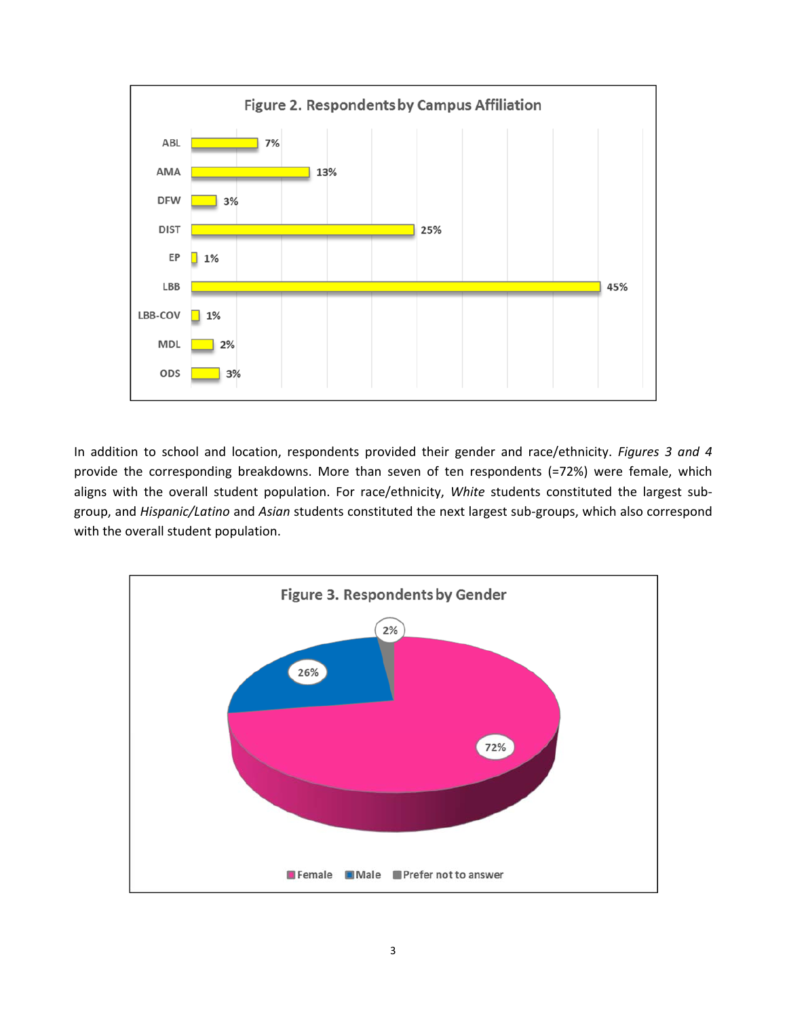

In addition to school and location, respondents provided their gender and race/ethnicity. *Figures 3 and 4* provide the corresponding breakdowns. More than seven of ten respondents (=72%) were female, which aligns with the overall student population. For race/ethnicity, *White* students constituted the largest sub‐ group, and *Hispanic/Latino* and *Asian* students constituted the next largest sub‐groups, which also correspond with the overall student population.

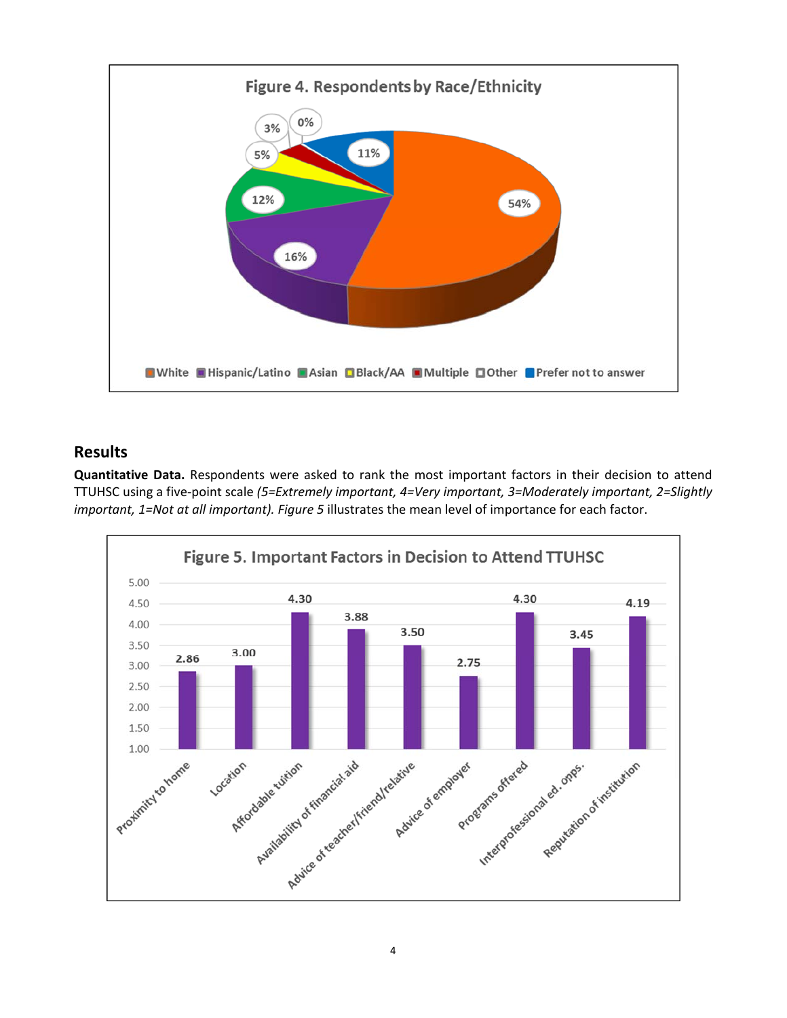

## **Results**

**Quantitative Data.** Respondents were asked to rank the most important factors in their decision to attend TTUHSC using a five‐point scale *(5=Extremely important, 4=Very important, 3=Moderately important, 2=Slightly important, 1=Not at all important). Figure 5* illustrates the mean level of importance for each factor.

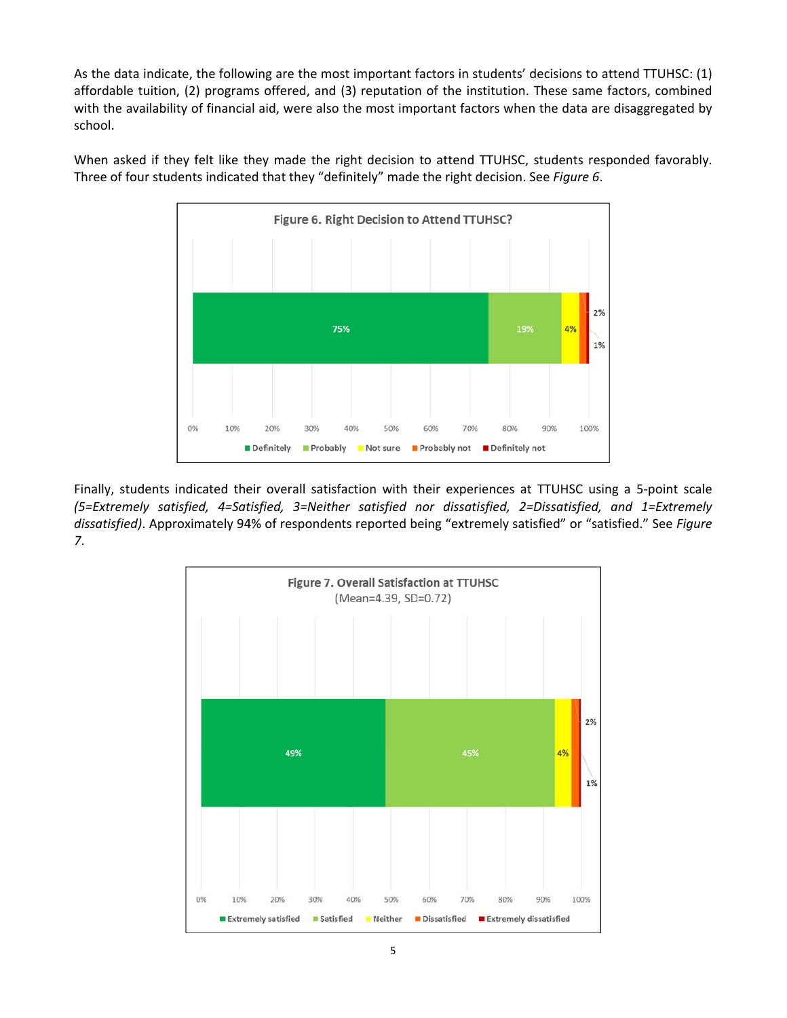As the data indicate, the following are the most important factors in students' decisions to attend TTUHSC: (1) affordable tuition, (2) programs offered, and (3) reputation of the institution. These same factors, combined with the availability of financial aid, were also the most important factors when the data are disaggregated by school.

> Figure 6. Right Decision to Attend TTUHSC? 2% 4% 75% 1% 0% 10% 20% 100% 30% 40% 50% 60% 70% 80% 90% Definitely not Definitely Probably Not sure Probably not

When asked if they felt like they made the right decision to attend TTUHSC, students responded favorably. Three of four students indicated that they "definitely" made the right decision. See *Figure 6*.

Finally, students indicated their overall satisfaction with their experiences at TTUHSC using a 5‐point scale *(5=Extremely satisfied, 4=Satisfied, 3=Neither satisfied nor dissatisfied, 2=Dissatisfied, and 1=Extremely dissatisfied)*. Approximately 94% of respondents reported being "extremely satisfied" or "satisfied." See *Figure 7*.

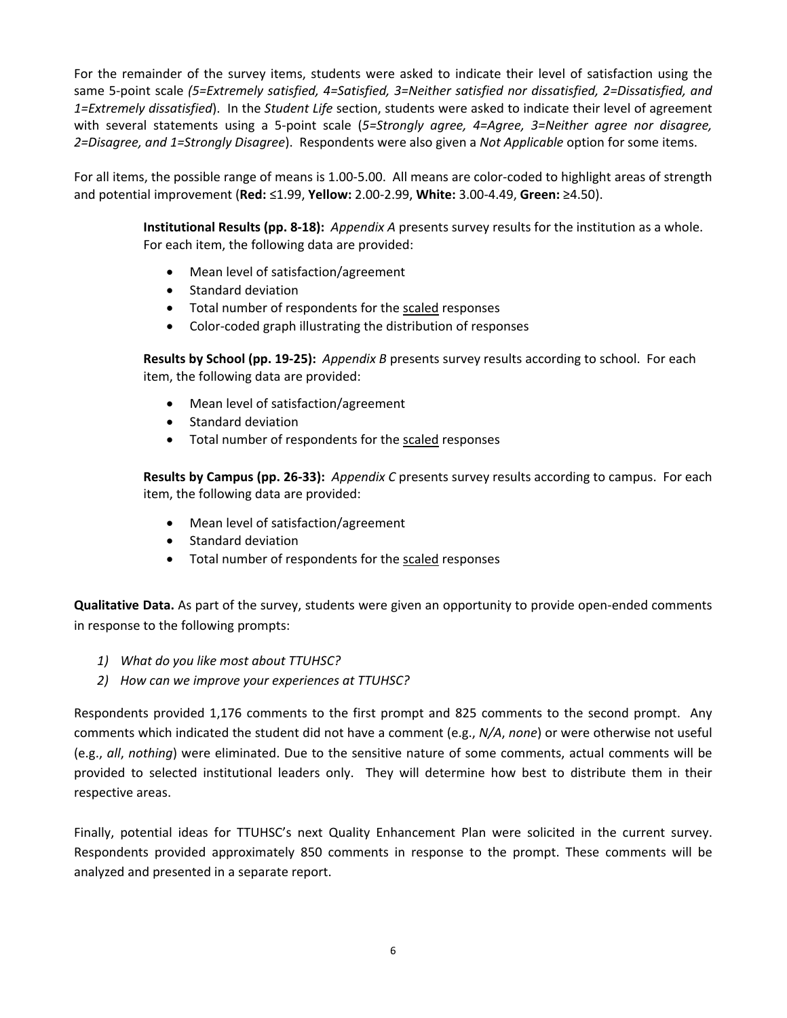For the remainder of the survey items, students were asked to indicate their level of satisfaction using the same 5‐point scale *(5=Extremely satisfied, 4=Satisfied, 3=Neither satisfied nor dissatisfied, 2=Dissatisfied, and 1=Extremely dissatisfied*). In the *Student Life* section, students were asked to indicate their level of agreement with several statements using a 5‐point scale (*5=Strongly agree, 4=Agree, 3=Neither agree nor disagree, 2=Disagree, and 1=Strongly Disagree*). Respondents were also given a *Not Applicable* option for some items.

For all items, the possible range of means is 1.00‐5.00. All means are color‐coded to highlight areas of strength and potential improvement (**Red:** ≤1.99, **Yellow:** 2.00‐2.99, **White:** 3.00‐4.49, **Green:** ≥4.50).

> **Institutional Results (pp. 8‐18):** *Appendix A* presents survey results for the institution as a whole. For each item, the following data are provided:

- Mean level of satisfaction/agreement
- Standard deviation
- Total number of respondents for the scaled responses
- Color-coded graph illustrating the distribution of responses

**Results by School (pp. 19‐25):** *Appendix B* presents survey results according to school. For each item, the following data are provided:

- Mean level of satisfaction/agreement
- Standard deviation
- Total number of respondents for the scaled responses

**Results by Campus (pp. 26‐33):** *Appendix C* presents survey results according to campus. For each item, the following data are provided:

- Mean level of satisfaction/agreement
- Standard deviation
- Total number of respondents for the scaled responses

**Qualitative Data.** As part of the survey, students were given an opportunity to provide open‐ended comments in response to the following prompts:

- *1) What do you like most about TTUHSC?*
- *2) How can we improve your experiences at TTUHSC?*

Respondents provided 1,176 comments to the first prompt and 825 comments to the second prompt. Any comments which indicated the student did not have a comment (e.g., *N/A*, *none*) or were otherwise not useful (e.g., *all*, *nothing*) were eliminated. Due to the sensitive nature of some comments, actual comments will be provided to selected institutional leaders only. They will determine how best to distribute them in their respective areas.

Finally, potential ideas for TTUHSC's next Quality Enhancement Plan were solicited in the current survey. Respondents provided approximately 850 comments in response to the prompt. These comments will be analyzed and presented in a separate report.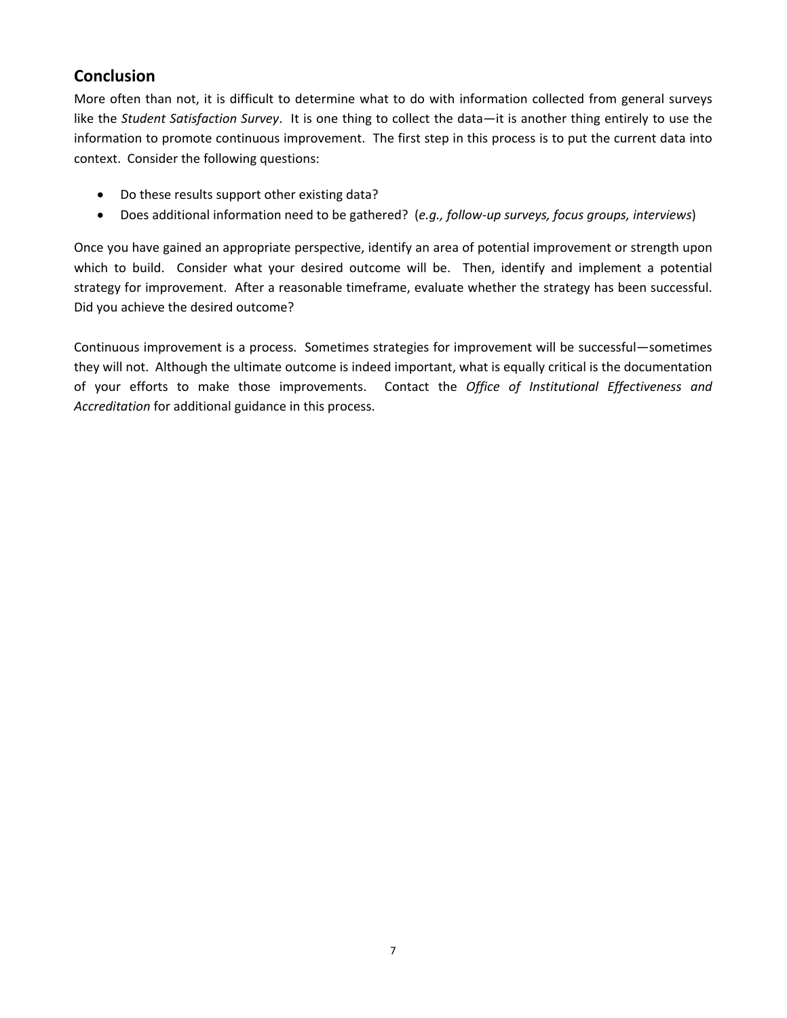# **Conclusion**

More often than not, it is difficult to determine what to do with information collected from general surveys like the *Student Satisfaction Survey*. It is one thing to collect the data—it is another thing entirely to use the information to promote continuous improvement. The first step in this process is to put the current data into context. Consider the following questions:

- Do these results support other existing data?
- Does additional information need to be gathered? (*e.g., follow‐up surveys, focus groups, interviews*)

Once you have gained an appropriate perspective, identify an area of potential improvement or strength upon which to build. Consider what your desired outcome will be. Then, identify and implement a potential strategy for improvement. After a reasonable timeframe, evaluate whether the strategy has been successful. Did you achieve the desired outcome?

Continuous improvement is a process. Sometimes strategies for improvement will be successful—sometimes they will not. Although the ultimate outcome is indeed important, what is equally critical is the documentation of your efforts to make those improvements. Contact the *Office of Institutional Effectiveness and Accreditation* for additional guidance in this process.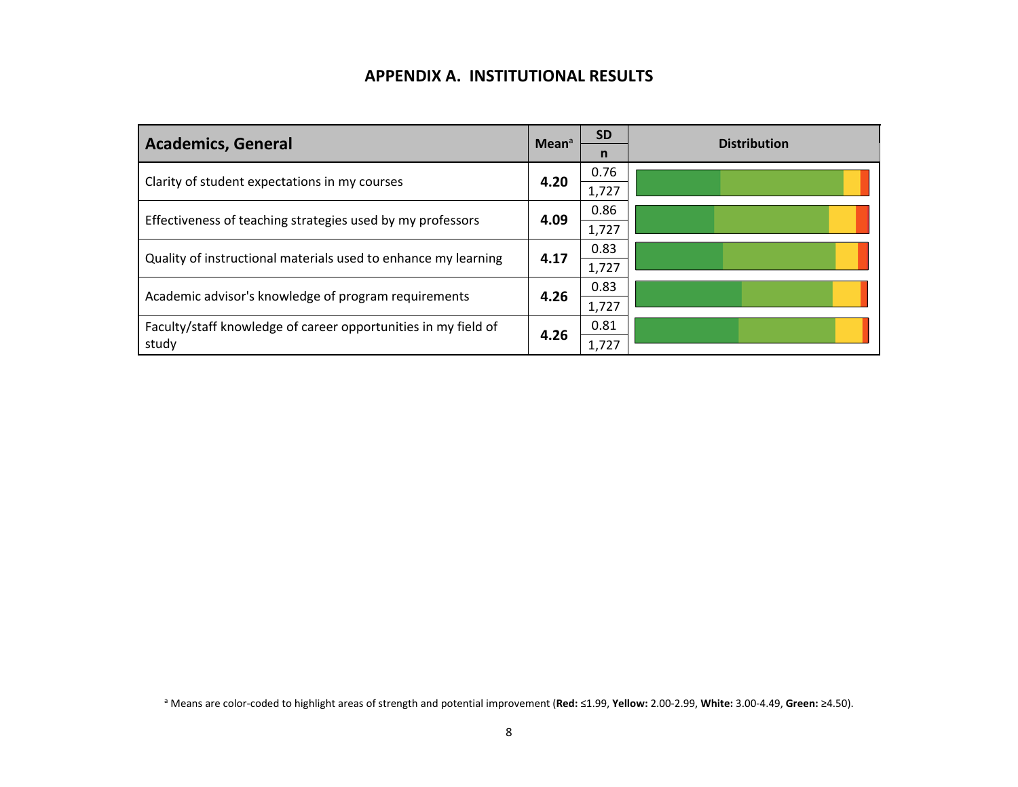## **APPENDIX A. INSTITUTIONAL RESULTS**

| <b>Academics, General</b>                                      | Mean <sup>a</sup> | <b>SD</b><br>n | <b>Distribution</b> |
|----------------------------------------------------------------|-------------------|----------------|---------------------|
| Clarity of student expectations in my courses                  | 4.20              | 0.76           |                     |
|                                                                |                   | 1,727          |                     |
| Effectiveness of teaching strategies used by my professors     | 4.09              | 0.86           |                     |
|                                                                | 1,727             |                |                     |
| Quality of instructional materials used to enhance my learning | 4.17              | 0.83           |                     |
|                                                                |                   | 1,727          |                     |
| Academic advisor's knowledge of program requirements           | 4.26              | 0.83           |                     |
|                                                                |                   | 1,727          |                     |
| Faculty/staff knowledge of career opportunities in my field of | 4.26              | 0.81           |                     |
| study                                                          |                   | 1,727          |                     |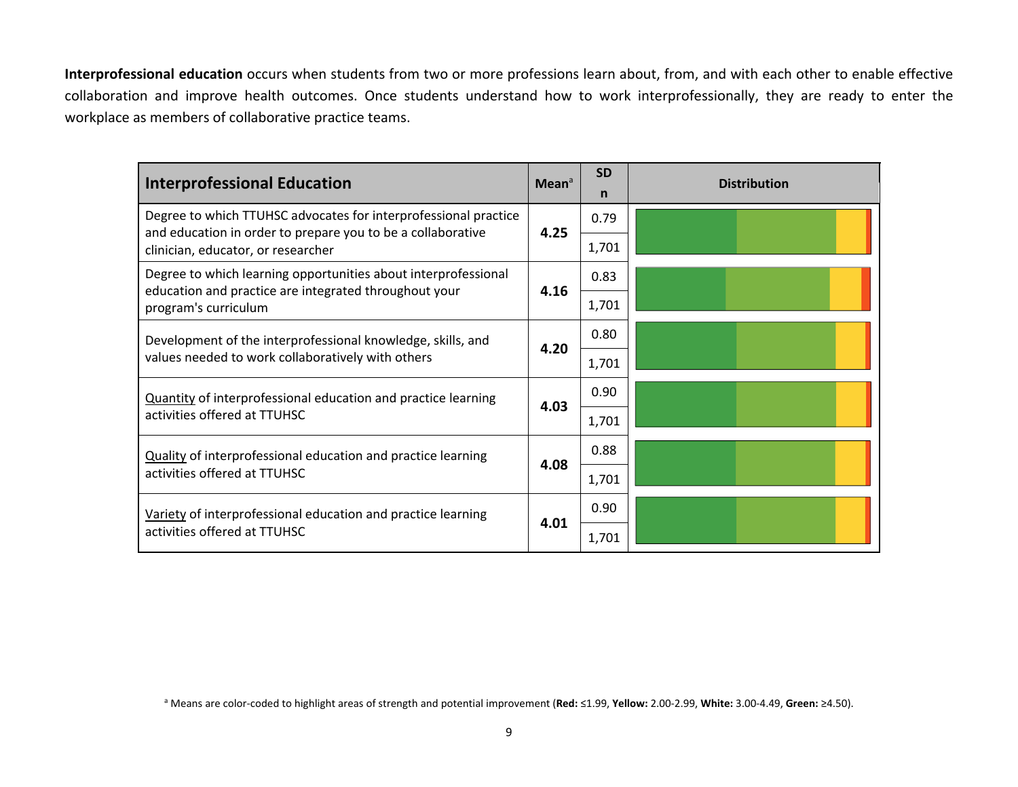**Interprofessional education** occurs when students from two or more professions learn about, from, and with each other to enable effective collaboration and improve health outcomes. Once students understand how to work interprofessionally, they are ready to enter the workplace as members of collaborative practice teams.

| <b>Interprofessional Education</b>                                                                                             | Mean <sup>a</sup> | <b>SD</b><br>n | <b>Distribution</b> |
|--------------------------------------------------------------------------------------------------------------------------------|-------------------|----------------|---------------------|
| Degree to which TTUHSC advocates for interprofessional practice<br>and education in order to prepare you to be a collaborative | 4.25              | 0.79           |                     |
| clinician, educator, or researcher                                                                                             |                   | 1,701          |                     |
| Degree to which learning opportunities about interprofessional<br>education and practice are integrated throughout your        | 4.16              | 0.83           |                     |
| program's curriculum                                                                                                           |                   | 1,701          |                     |
| Development of the interprofessional knowledge, skills, and                                                                    |                   | 0.80           |                     |
| values needed to work collaboratively with others                                                                              | 4.20              | 1,701          |                     |
| Quantity of interprofessional education and practice learning                                                                  | 4.03              | 0.90           |                     |
| activities offered at TTUHSC                                                                                                   |                   | 1,701          |                     |
| Quality of interprofessional education and practice learning                                                                   | 4.08              | 0.88           |                     |
| activities offered at TTUHSC                                                                                                   |                   | 1,701          |                     |
| Variety of interprofessional education and practice learning                                                                   |                   | 0.90           |                     |
| activities offered at TTUHSC                                                                                                   | 4.01              | 1,701          |                     |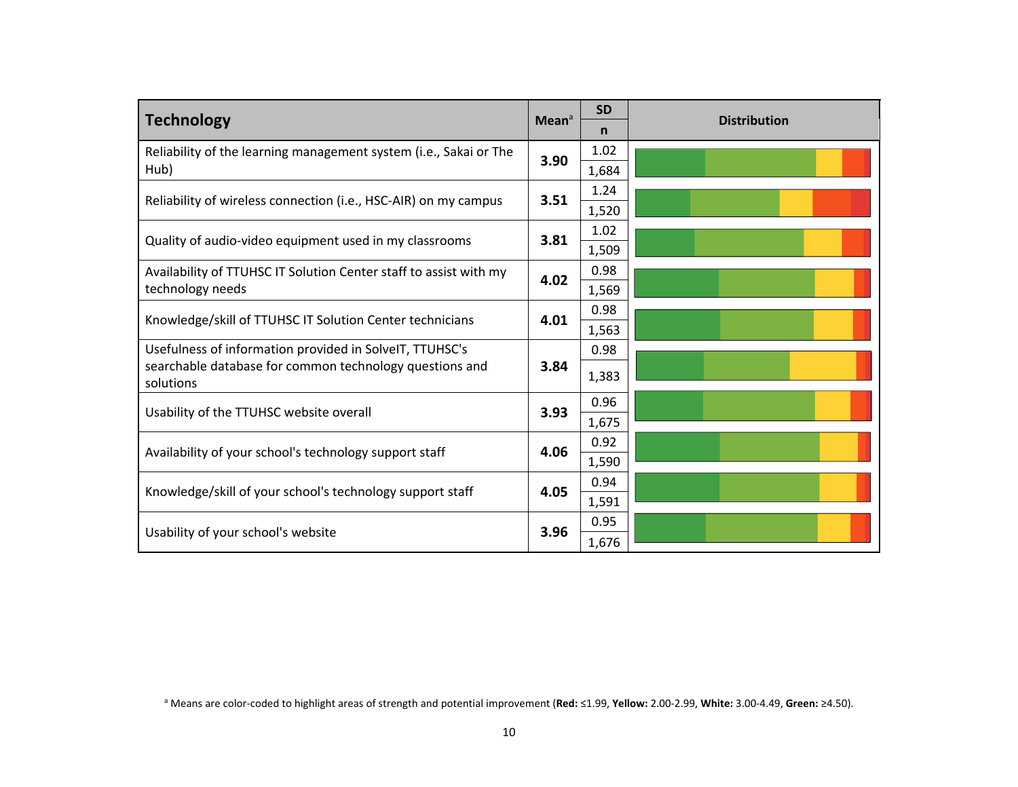|                                                                   | <b>SD</b>                                                                         | <b>Distribution</b>                                      |
|-------------------------------------------------------------------|-----------------------------------------------------------------------------------|----------------------------------------------------------|
|                                                                   | n                                                                                 |                                                          |
|                                                                   | 1.02                                                                              |                                                          |
|                                                                   | 1,684                                                                             |                                                          |
|                                                                   | 1.24                                                                              |                                                          |
|                                                                   | 1,520                                                                             |                                                          |
|                                                                   | 1.02                                                                              |                                                          |
|                                                                   | 1,509                                                                             |                                                          |
|                                                                   | 0.98                                                                              |                                                          |
|                                                                   | 1,569                                                                             |                                                          |
|                                                                   | 0.98                                                                              |                                                          |
|                                                                   | 1,563                                                                             |                                                          |
|                                                                   | 0.98                                                                              |                                                          |
|                                                                   | 1,383                                                                             |                                                          |
|                                                                   |                                                                                   |                                                          |
|                                                                   |                                                                                   |                                                          |
|                                                                   |                                                                                   |                                                          |
|                                                                   |                                                                                   |                                                          |
|                                                                   | 0.94                                                                              |                                                          |
| Knowledge/skill of your school's technology support staff<br>4.05 |                                                                                   |                                                          |
|                                                                   |                                                                                   |                                                          |
| 3.96                                                              |                                                                                   |                                                          |
|                                                                   | Mean <sup>a</sup><br>3.90<br>3.51<br>3.81<br>4.02<br>4.01<br>3.84<br>3.93<br>4.06 | 0.96<br>1,675<br>0.92<br>1,590<br>1,591<br>0.95<br>1,676 |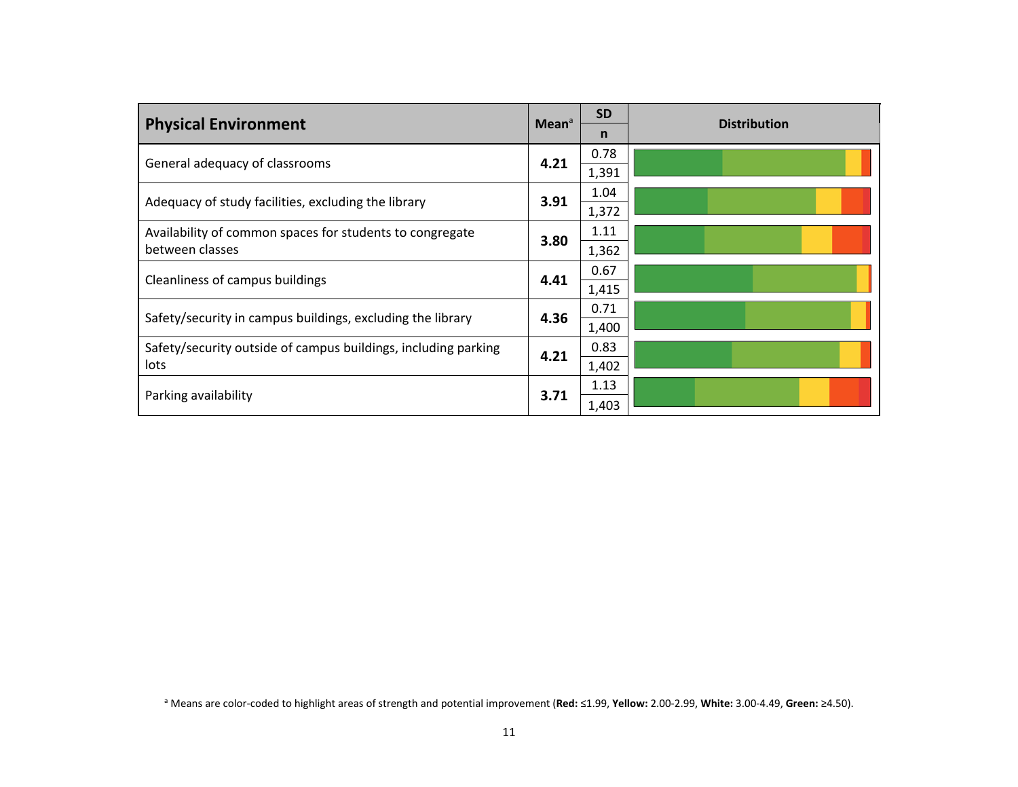| <b>Physical Environment</b>                                    | Mean <sup>a</sup> | <b>SD</b> | <b>Distribution</b> |
|----------------------------------------------------------------|-------------------|-----------|---------------------|
|                                                                |                   | n         |                     |
| General adequacy of classrooms                                 | 4.21              | 0.78      |                     |
|                                                                |                   | 1,391     |                     |
| Adequacy of study facilities, excluding the library            | 3.91              | 1.04      |                     |
|                                                                |                   | 1,372     |                     |
| Availability of common spaces for students to congregate       |                   | 1.11      |                     |
| between classes                                                | 3.80              | 1,362     |                     |
| Cleanliness of campus buildings                                | 4.41              | 0.67      |                     |
|                                                                |                   | 1,415     |                     |
| Safety/security in campus buildings, excluding the library     | 4.36              | 0.71      |                     |
|                                                                |                   | 1,400     |                     |
| Safety/security outside of campus buildings, including parking | 4.21              | 0.83      |                     |
| lots                                                           |                   | 1,402     |                     |
|                                                                |                   | 1.13      |                     |
| Parking availability                                           | 3.71              | 1,403     |                     |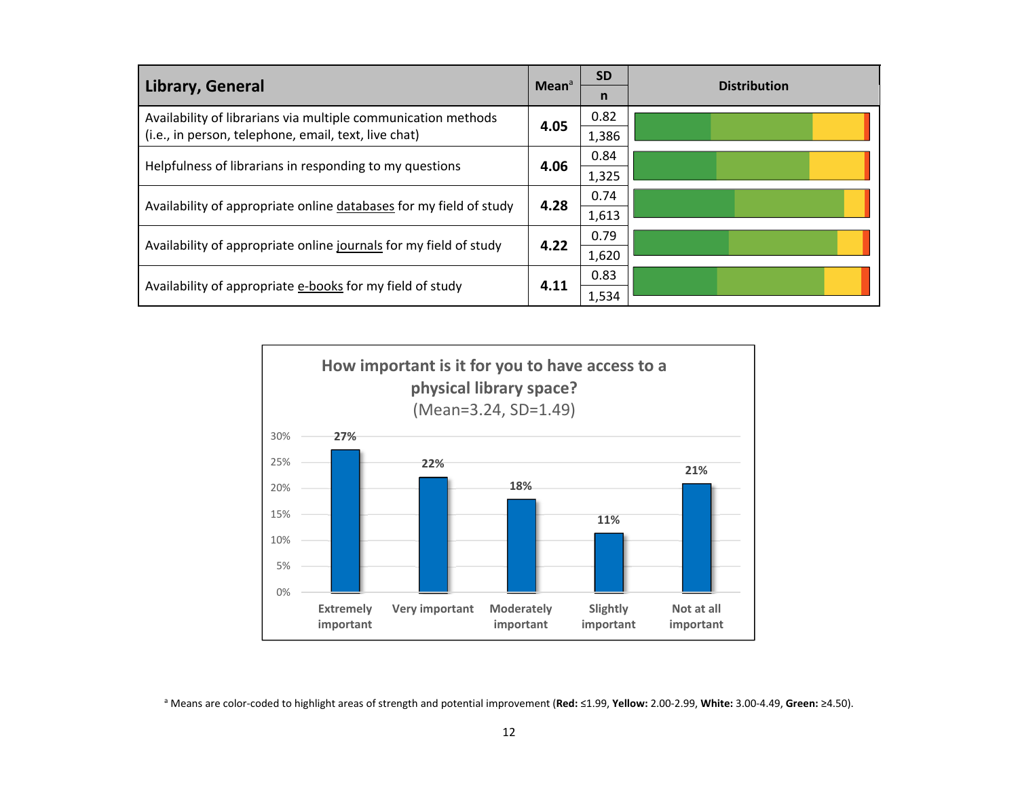| Library, General                                                   | Mean <sup>a</sup> | <b>SD</b> | <b>Distribution</b> |  |
|--------------------------------------------------------------------|-------------------|-----------|---------------------|--|
|                                                                    |                   | n         |                     |  |
| Availability of librarians via multiple communication methods      | 4.05              | 0.82      |                     |  |
| (i.e., in person, telephone, email, text, live chat)               |                   | 1,386     |                     |  |
| Helpfulness of librarians in responding to my questions            | 4.06              | 0.84      |                     |  |
|                                                                    |                   | 1,325     |                     |  |
| Availability of appropriate online databases for my field of study | 4.28              |           | 0.74                |  |
|                                                                    |                   | 1,613     |                     |  |
| Availability of appropriate online journals for my field of study  | 4.22              | 0.79      |                     |  |
|                                                                    |                   | 1,620     |                     |  |
| Availability of appropriate e-books for my field of study          | 4.11              | 0.83      |                     |  |
|                                                                    |                   | 1,534     |                     |  |



a Means are color‐coded to highlight areas of strength and potential improvement (**Red:** ≤1.99, **Yellow:** 2.00‐2.99, **White:** 3.00‐4.49, **Green:** ≥4.50).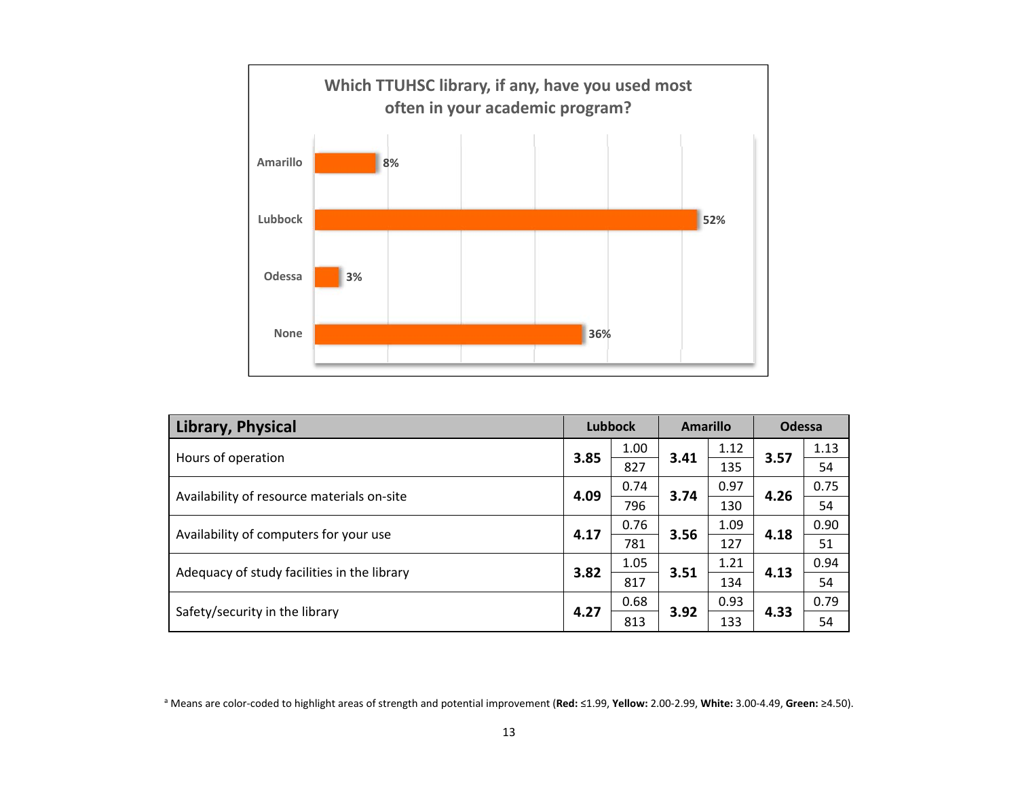

| Library, Physical                           | <b>Lubbock</b> |      | <b>Amarillo</b> |      | Odessa |      |
|---------------------------------------------|----------------|------|-----------------|------|--------|------|
| Hours of operation                          | 3.85           | 1.00 | 3.41            | 1.12 | 3.57   | 1.13 |
|                                             |                | 827  |                 | 135  |        | 54   |
| Availability of resource materials on-site  | 4.09           | 0.74 | 3.74            | 0.97 | 4.26   | 0.75 |
|                                             |                | 796  |                 | 130  |        | 54   |
|                                             | 4.17           | 0.76 | 3.56            | 1.09 | 4.18   | 0.90 |
| Availability of computers for your use      |                | 781  |                 | 127  |        | 51   |
|                                             | 3.82           | 1.05 | 3.51            | 1.21 | 4.13   | 0.94 |
| Adequacy of study facilities in the library |                | 817  |                 | 134  |        | 54   |
|                                             | 4.27           | 0.68 |                 | 0.93 |        | 0.79 |
| Safety/security in the library              |                | 813  | 3.92            | 133  | 4.33   | 54   |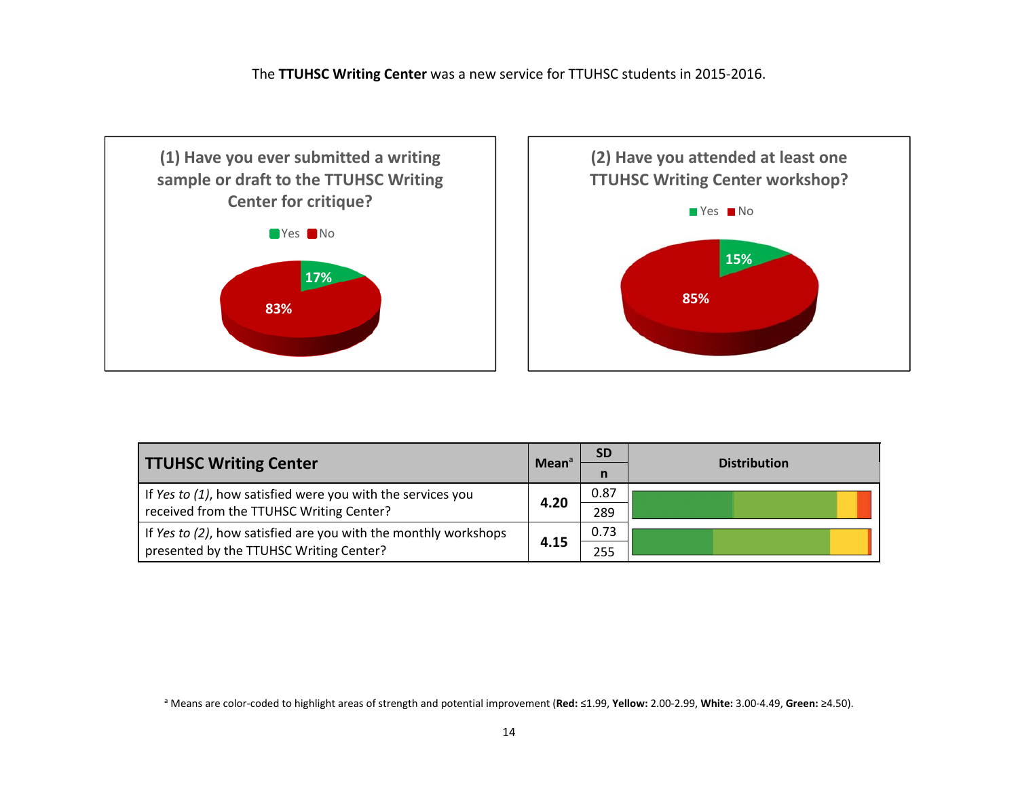The **TTUHSC Writing Center** was <sup>a</sup> new service for TTUHSC students in 2015‐2016.





|                                                                 |                   | <b>SD</b> |                     |  |
|-----------------------------------------------------------------|-------------------|-----------|---------------------|--|
| <b>TTUHSC Writing Center</b>                                    | Mean <sup>a</sup> |           | <b>Distribution</b> |  |
| If Yes to (1), how satisfied were you with the services you     |                   | 0.87      |                     |  |
| received from the TTUHSC Writing Center?                        | 4.20              | 289       |                     |  |
| If Yes to (2), how satisfied are you with the monthly workshops |                   | 0.73      |                     |  |
| presented by the TTUHSC Writing Center?                         | 4.15              | 255       |                     |  |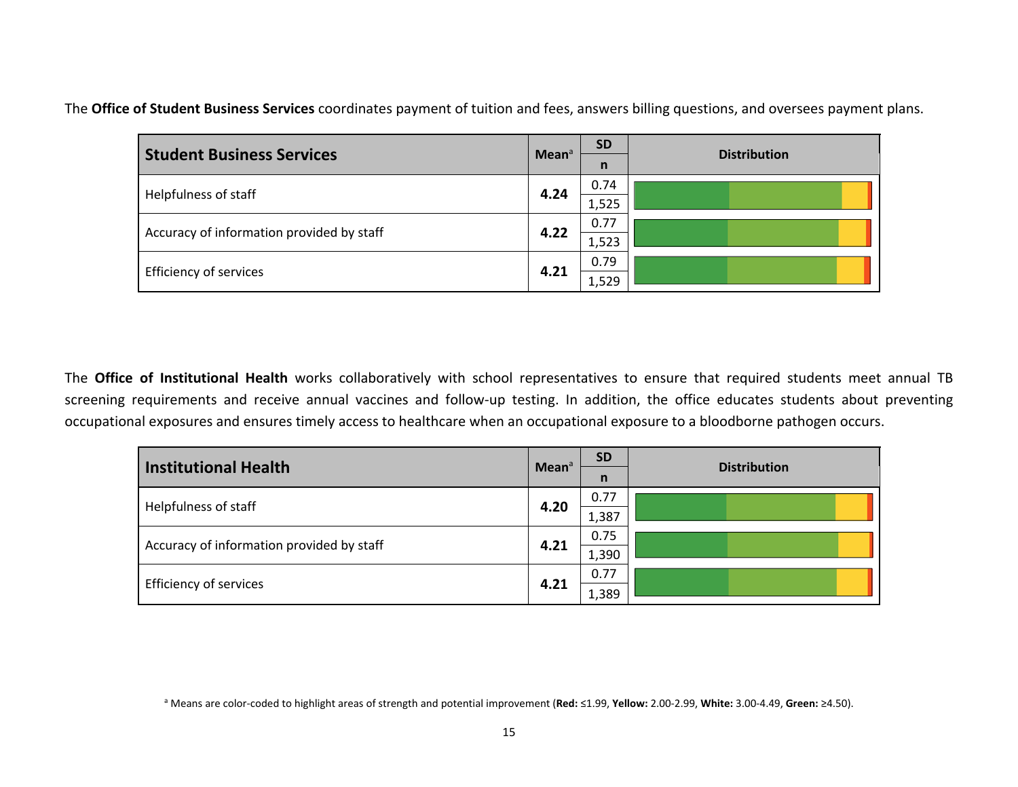The **Office of Student Business Services** coordinates payment of tuition and fees, answers billing questions, and oversees payment plans.

| <b>Student Business Services</b>          |                   | <b>SD</b> | <b>Distribution</b> |  |  |
|-------------------------------------------|-------------------|-----------|---------------------|--|--|
|                                           | Mean <sup>a</sup> | n         |                     |  |  |
|                                           | 4.24              | 0.74      |                     |  |  |
| Helpfulness of staff                      |                   | 1,525     |                     |  |  |
| Accuracy of information provided by staff | 4.22              | 0.77      |                     |  |  |
|                                           |                   | 1,523     |                     |  |  |
|                                           |                   | 0.79      |                     |  |  |
| Efficiency of services                    | 4.21              | 1,529     |                     |  |  |

The **Office of Institutional Health** works collaboratively with school representatives to ensure that required students meet annual TB screening requirements and receive annual vaccines and follow-up testing. In addition, the office educates students about preventing occupational exposures and ensures timely access to healthcare when an occupational exposure to <sup>a</sup> bloodborne pathogen occurs.

| Institutional Health                      | Mean <sup>a</sup> | <b>SD</b>    | <b>Distribution</b> |       |  |
|-------------------------------------------|-------------------|--------------|---------------------|-------|--|
|                                           |                   | $\mathsf{n}$ |                     |       |  |
| Helpfulness of staff                      | 4.20              | 0.77         |                     |       |  |
|                                           |                   | 1,387        |                     |       |  |
| Accuracy of information provided by staff |                   | 0.75         |                     |       |  |
|                                           | 4.21              |              |                     | 1,390 |  |
|                                           | 4.21              | 0.77         |                     |       |  |
| Efficiency of services                    |                   | 1,389        |                     |       |  |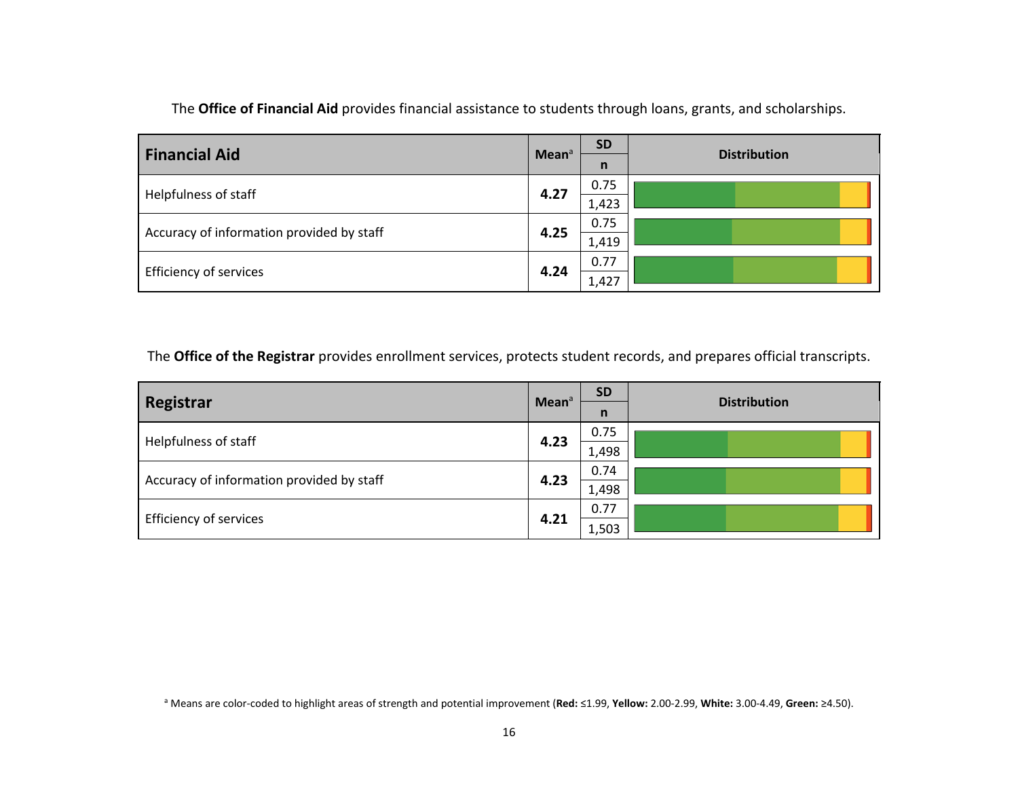| <b>Financial Aid</b>                      | Mean <sup>a</sup> | <b>SD</b>            | <b>Distribution</b> |
|-------------------------------------------|-------------------|----------------------|---------------------|
|                                           |                   | $\mathsf{n}$<br>0.75 |                     |
| Helpfulness of staff                      | 4.27              | 1,423                |                     |
|                                           | 4.25              | 0.75                 |                     |
| Accuracy of information provided by staff |                   |                      | 1,419               |
| <b>Efficiency of services</b>             | 4.24              | 0.77                 |                     |
|                                           | 1,427             |                      |                     |

The **Office of Financial Aid** provides financial assistance to students through loans, grants, and scholarships.

The **Office of the Registrar** provides enrollment services, protects student records, and prepares official transcripts.

|                                           | Mean <sup>a</sup> | <b>SD</b>    | <b>Distribution</b> |       |  |
|-------------------------------------------|-------------------|--------------|---------------------|-------|--|
| Registrar                                 |                   | $\mathsf{n}$ |                     |       |  |
|                                           |                   | 0.75         |                     |       |  |
| 4.23<br>Helpfulness of staff              |                   | 1,498        |                     |       |  |
|                                           |                   | 0.74         |                     |       |  |
| Accuracy of information provided by staff | 4.23              |              |                     | 1,498 |  |
|                                           |                   | 0.77         |                     |       |  |
| <b>Efficiency of services</b>             | 4.21              | 1,503        |                     |       |  |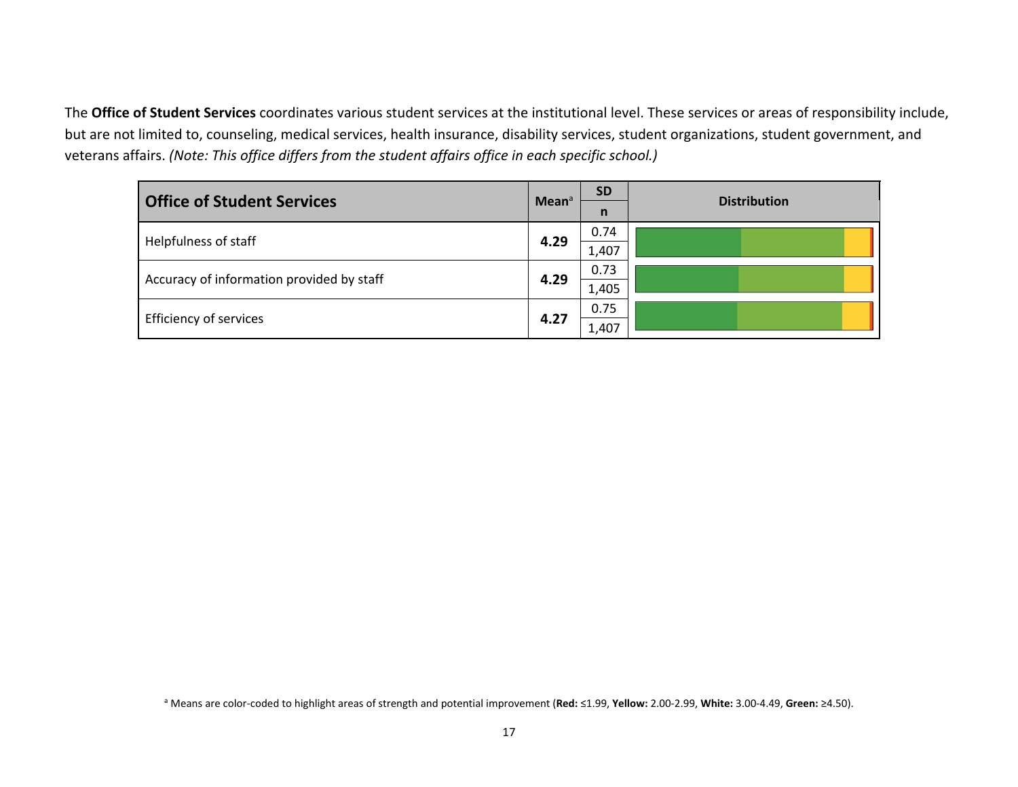The **Office of Student Services** coordinates various student services at the institutional level. These services or areas of responsibility include, but are not limited to, counseling, medical services, health insurance, disability services, student organizations, student government, and veterans affairs. *(Note: This office differs from the student affairs office in each specific school.)*

| <b>Office of Student Services</b>         | Mean <sup>a</sup> | <b>SD</b> | <b>Distribution</b> |
|-------------------------------------------|-------------------|-----------|---------------------|
|                                           |                   | n         |                     |
| Helpfulness of staff                      | 4.29              | 0.74      |                     |
|                                           |                   | 1,407     |                     |
|                                           | 4.29              | 0.73      |                     |
| Accuracy of information provided by staff |                   | 1,405     |                     |
|                                           |                   | 0.75      |                     |
| <b>Efficiency of services</b>             | 4.27              | 1,407     |                     |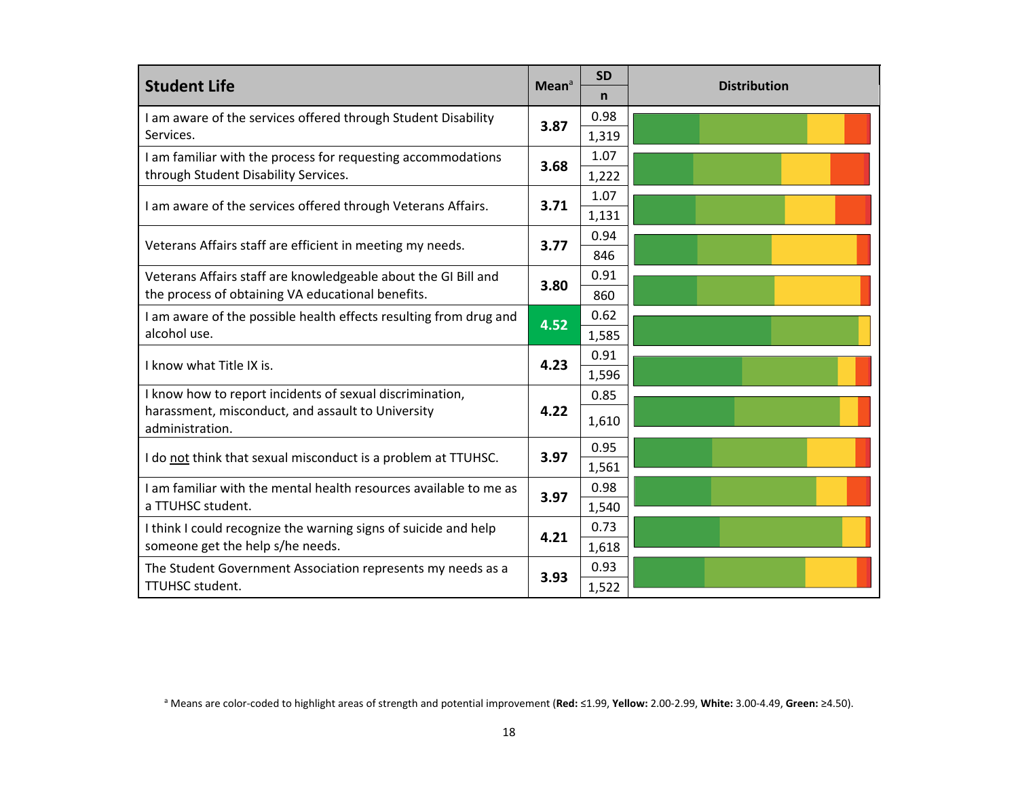| <b>Student Life</b>                                                  | Mean <sup>a</sup> | <b>SD</b> | <b>Distribution</b> |
|----------------------------------------------------------------------|-------------------|-----------|---------------------|
|                                                                      |                   | n         |                     |
| I am aware of the services offered through Student Disability        | 3.87              | 0.98      |                     |
| Services.                                                            |                   | 1,319     |                     |
| I am familiar with the process for requesting accommodations         | 3.68              | 1.07      |                     |
| through Student Disability Services.                                 |                   | 1,222     |                     |
|                                                                      |                   | 1.07      |                     |
| I am aware of the services offered through Veterans Affairs.         | 3.71              | 1,131     |                     |
| Veterans Affairs staff are efficient in meeting my needs.            | 3.77              | 0.94      |                     |
|                                                                      |                   | 846       |                     |
| Veterans Affairs staff are knowledgeable about the GI Bill and       | 3.80              | 0.91      |                     |
| the process of obtaining VA educational benefits.                    |                   | 860       |                     |
| I am aware of the possible health effects resulting from drug and    |                   | 0.62      |                     |
| alcohol use.                                                         | 4.52              | 1,585     |                     |
| I know what Title IX is.                                             | 4.23              | 0.91      |                     |
|                                                                      |                   | 1,596     |                     |
| I know how to report incidents of sexual discrimination,             |                   | 0.85      |                     |
| harassment, misconduct, and assault to University<br>administration. | 4.22              | 1,610     |                     |
|                                                                      | 3.97              | 0.95      |                     |
| I do not think that sexual misconduct is a problem at TTUHSC.        |                   | 1,561     |                     |
| I am familiar with the mental health resources available to me as    | 3.97              | 0.98      |                     |
| a TTUHSC student.                                                    |                   | 1,540     |                     |
| I think I could recognize the warning signs of suicide and help      | 4.21              | 0.73      |                     |
| someone get the help s/he needs.                                     |                   | 1,618     |                     |
| The Student Government Association represents my needs as a          |                   | 0.93      |                     |
| TTUHSC student.                                                      | 3.93              | 1,522     |                     |

a Means are color‐coded to highlight areas of strength and potential improvement (**Red:** ≤1.99, **Yellow:** 2.00‐2.99, **White:** 3.00‐4.49, **Green:** ≥4.50).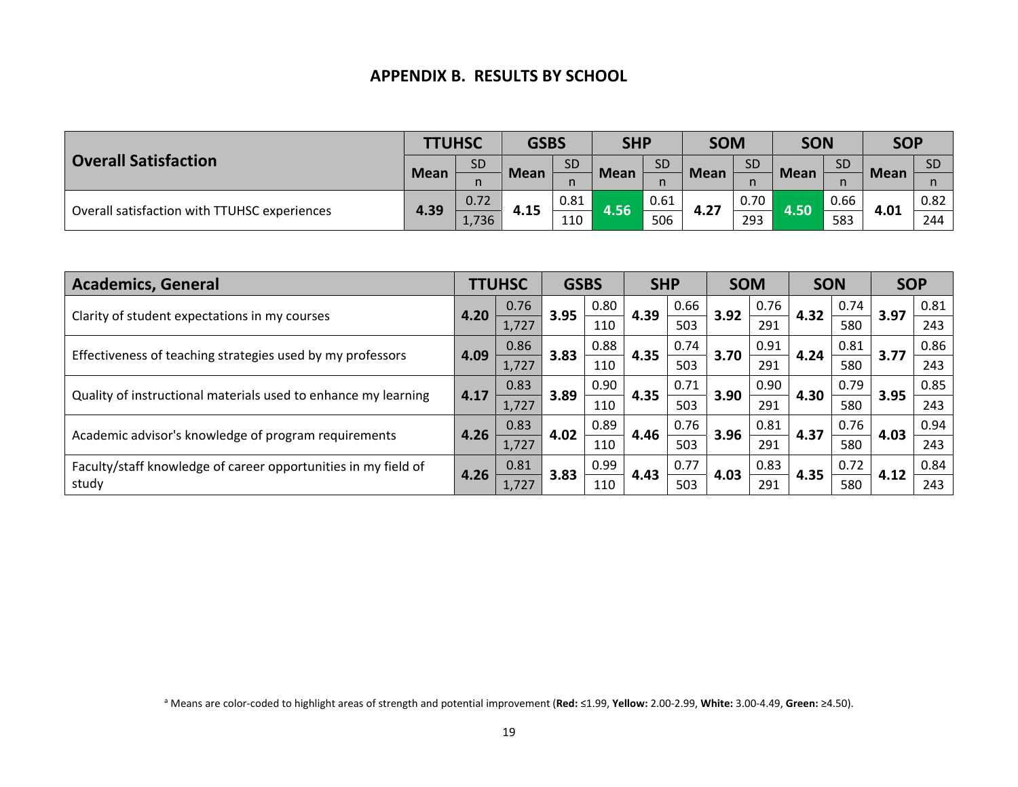#### **APPENDIX B. RESULTS BY SCHOOL**

| <b>Overall Satisfaction</b>                  | <b>TTUHSC</b> |               | <b>GSBS</b> |      | <b>SHP</b>  |           |             | <b>SOM</b> |             | <b>SON</b> | <b>SOP</b>  |           |  |      |
|----------------------------------------------|---------------|---------------|-------------|------|-------------|-----------|-------------|------------|-------------|------------|-------------|-----------|--|------|
|                                              | <b>Mean</b>   | <b>SD</b>     | <b>SD</b>   |      | <b>Mean</b> | <b>SD</b> | <b>Mean</b> | <b>SD</b>  | <b>Mean</b> | <b>SD</b>  |             | <b>SD</b> |  |      |
|                                              |               |               | <b>Mean</b> | n    |             | n         |             |            |             |            | <b>Mean</b> |           |  |      |
| Overall satisfaction with TTUHSC experiences | 4.39          | 0.72          |             | 0.81 |             | 0.61      | 4.27        | 0.70       |             |            |             | 0.66      |  | 0.82 |
|                                              |               | 4.15<br>1,736 |             | 110  | 4.56        | 506       |             | 293        | 4.50        | 583        | 4.01        | 244       |  |      |

| <b>Academics, General</b>                                      |      | <b>TTUHSC</b> | <b>GSBS</b>  |      | <b>SHP</b> |      | <b>SOM</b> |      | <b>SON</b> |      | <b>SOP</b> |      |
|----------------------------------------------------------------|------|---------------|--------------|------|------------|------|------------|------|------------|------|------------|------|
|                                                                | 4.20 | 0.76          | 3.95         | 0.80 | 4.39       | 0.66 | 3.92       | 0.76 | 4.32       | 0.74 | 3.97       | 0.81 |
| Clarity of student expectations in my courses                  |      | 1,727         |              | 110  |            | 503  |            | 291  |            | 580  |            | 243  |
| Effectiveness of teaching strategies used by my professors     | 4.09 | 0.86          |              | 0.88 | 4.35       | 0.74 | 3.70       | 0.91 | 4.24       | 0.81 | 3.77       | 0.86 |
|                                                                |      | 1,727         | 3.83<br>3.89 | 110  |            | 503  |            | 291  |            | 580  |            | 243  |
| Quality of instructional materials used to enhance my learning | 4.17 | 0.83          |              | 0.90 | 4.35       | 0.71 | 3.90       | 0.90 | 4.30       | 0.79 | 3.95       | 0.85 |
|                                                                |      | 1,727         |              | 110  |            | 503  |            | 291  |            | 580  |            | 243  |
|                                                                | 4.26 | 0.83          | 4.02         | 0.89 | 4.46       | 0.76 | 3.96       | 0.81 | 4.37       | 0.76 | 4.03       | 0.94 |
| Academic advisor's knowledge of program requirements           |      | 1,727         |              | 110  |            | 503  |            | 291  |            | 580  |            | 243  |
| Faculty/staff knowledge of career opportunities in my field of | 4.26 | 0.81          | 3.83         | 0.99 | 4.43       | 0.77 | 4.03       | 0.83 | 4.35       | 0.72 | 4.12       | 0.84 |
| study                                                          |      | 1,727         |              | 110  |            | 503  |            | 291  |            | 580  |            | 243  |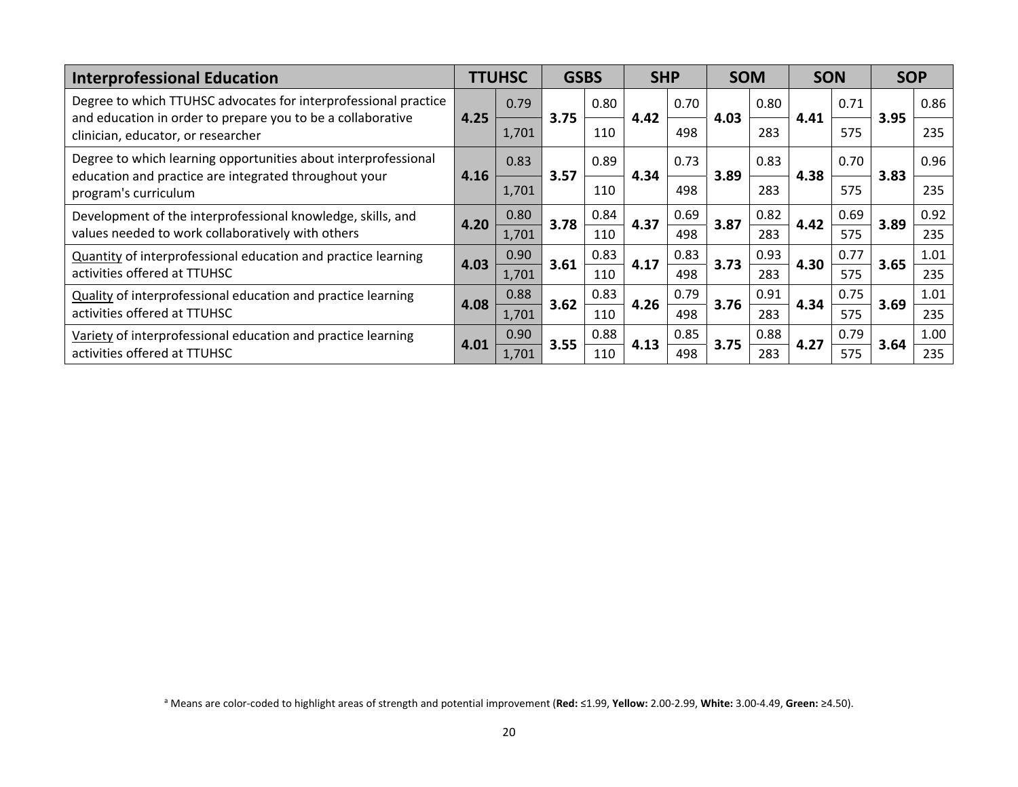| <b>Interprofessional Education</b>                                                                                             |               | <b>TTUHSC</b> | <b>GSBS</b> |      | <b>SHP</b> |      | <b>SOM</b> |      | <b>SON</b> |      | <b>SOP</b> |      |
|--------------------------------------------------------------------------------------------------------------------------------|---------------|---------------|-------------|------|------------|------|------------|------|------------|------|------------|------|
| Degree to which TTUHSC advocates for interprofessional practice<br>and education in order to prepare you to be a collaborative | 4.25          | 0.79          | 3.75        | 0.80 | 4.42       | 0.70 | 4.03       | 0.80 | 4.41       | 0.71 | 3.95       | 0.86 |
| clinician, educator, or researcher                                                                                             |               | 1,701         |             | 110  |            | 498  |            | 283  |            | 575  |            | 235  |
| Degree to which learning opportunities about interprofessional<br>education and practice are integrated throughout your        |               | 0.83          | 3.57        | 0.89 | 4.34       | 0.73 | 3.89       | 0.83 | 4.38       | 0.70 | 3.83       | 0.96 |
| program's curriculum                                                                                                           | 4.16<br>1,701 |               | 110         |      | 498        |      | 283        |      | 575        |      | 235        |      |
| Development of the interprofessional knowledge, skills, and                                                                    | 4.20          | 0.80          | 3.78        | 0.84 | 4.37       | 0.69 | 3.87       | 0.82 | 4.42       | 0.69 | 3.89       | 0.92 |
| values needed to work collaboratively with others                                                                              |               | 1,701         |             | 110  |            | 498  |            | 283  |            | 575  |            | 235  |
| Quantity of interprofessional education and practice learning                                                                  | 4.03          | 0.90          | 3.61        | 0.83 | 4.17       | 0.83 | 3.73       | 0.93 | 4.30       | 0.77 | 3.65       | 1.01 |
| activities offered at TTUHSC                                                                                                   |               | 1,701         |             | 110  |            | 498  |            | 283  |            | 575  |            | 235  |
| <b>Quality of interprofessional education and practice learning</b>                                                            | 4.08          | 0.88          | 3.62        | 0.83 | 4.26       | 0.79 | 3.76       | 0.91 | 4.34       | 0.75 | 3.69       | 1.01 |
| activities offered at TTUHSC                                                                                                   |               | 1,701         |             | 110  |            | 498  |            | 283  |            | 575  |            | 235  |
| Variety of interprofessional education and practice learning                                                                   | 4.01          | 0.90          | 3.55        | 0.88 | 4.13       | 0.85 | 3.75       | 0.88 | 4.27       | 0.79 | 3.64       | 1.00 |
| activities offered at TTUHSC                                                                                                   |               | 1,701         |             | 110  |            | 498  |            | 283  |            | 575  |            | 235  |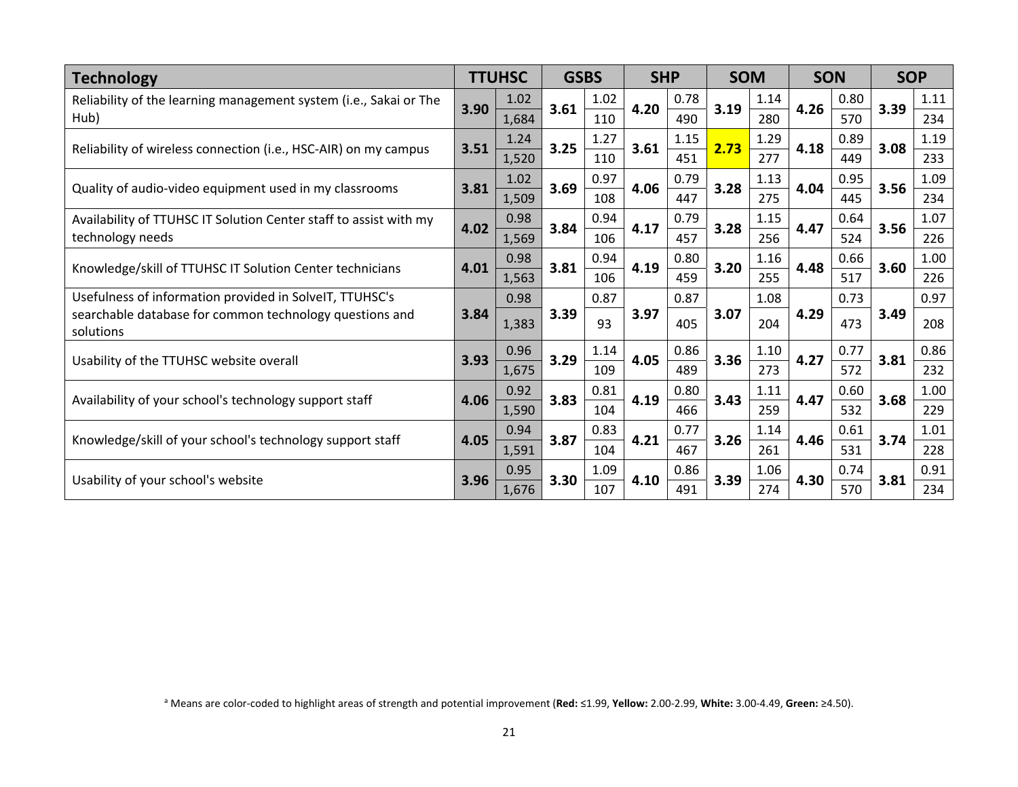| <b>Technology</b>                                                    |      | <b>TTUHSC</b> | <b>GSBS</b> |      | <b>SHP</b> |      | <b>SOM</b> |      | <b>SON</b> |      |      | <b>SOP</b> |
|----------------------------------------------------------------------|------|---------------|-------------|------|------------|------|------------|------|------------|------|------|------------|
| Reliability of the learning management system (i.e., Sakai or The    | 3.90 | 1.02          | 3.61        | 1.02 | 4.20       | 0.78 | 3.19       | 1.14 | 4.26       | 0.80 | 3.39 | 1.11       |
| Hub)                                                                 |      | 1,684         |             | 110  |            | 490  |            | 280  |            | 570  |      | 234        |
| Reliability of wireless connection (i.e., HSC-AIR) on my campus      | 3.51 | 1.24          | 3.25        | 1.27 | 3.61       | 1.15 | 2.73       | 1.29 | 4.18       | 0.89 | 3.08 | 1.19       |
|                                                                      |      | 1,520         |             | 110  |            | 451  |            | 277  |            | 449  |      | 233        |
| Quality of audio-video equipment used in my classrooms               | 3.81 | 1.02          | 3.69        | 0.97 | 4.06       | 0.79 | 3.28       | 1.13 | 4.04       | 0.95 | 3.56 | 1.09       |
|                                                                      |      | 1,509         |             | 108  |            | 447  |            | 275  |            | 445  |      | 234        |
| Availability of TTUHSC IT Solution Center staff to assist with my    | 4.02 | 0.98          | 3.84        | 0.94 | 4.17       | 0.79 | 3.28       | 1.15 | 4.47       | 0.64 | 3.56 | 1.07       |
| technology needs                                                     |      | 1,569         |             | 106  |            | 457  |            | 256  |            | 524  |      | 226        |
| Knowledge/skill of TTUHSC IT Solution Center technicians             | 4.01 | 0.98          | 3.81        | 0.94 | 4.19       | 0.80 | 3.20       | 1.16 | 4.48       | 0.66 | 3.60 | 1.00       |
|                                                                      |      | 1,563         |             | 106  |            | 459  |            | 255  |            | 517  |      | 226        |
| Usefulness of information provided in SolveIT, TTUHSC's              |      | 0.98          |             | 0.87 |            | 0.87 |            | 1.08 |            | 0.73 |      | 0.97       |
| searchable database for common technology questions and<br>solutions | 3.84 | 1,383         | 3.39        | 93   | 3.97       | 405  | 3.07       | 204  | 4.29       | 473  | 3.49 | 208        |
|                                                                      | 3.93 | 0.96          | 3.29        | 1.14 | 4.05       | 0.86 | 3.36       | 1.10 | 4.27       | 0.77 | 3.81 | 0.86       |
| Usability of the TTUHSC website overall                              |      | 1,675         |             | 109  |            | 489  |            | 273  |            | 572  |      | 232        |
|                                                                      | 4.06 | 0.92          | 3.83        | 0.81 | 4.19       | 0.80 | 3.43       | 1.11 | 4.47       | 0.60 | 3.68 | 1.00       |
| Availability of your school's technology support staff               |      | 1,590         |             | 104  |            | 466  |            | 259  |            | 532  |      | 229        |
|                                                                      |      | 0.94          |             | 0.83 |            | 0.77 |            | 1.14 |            | 0.61 |      | 1.01       |
| Knowledge/skill of your school's technology support staff            | 4.05 | 1,591         | 3.87        | 104  | 4.21       | 467  | 3.26       | 261  | 4.46       | 531  | 3.74 | 228        |
|                                                                      |      | 0.95          |             | 1.09 |            | 0.86 |            | 1.06 |            | 0.74 |      | 0.91       |
| Usability of your school's website                                   | 3.96 | 1,676         | 3.30        | 107  | 4.10       | 491  | 3.39       | 274  | 4.30       | 570  | 3.81 | 234        |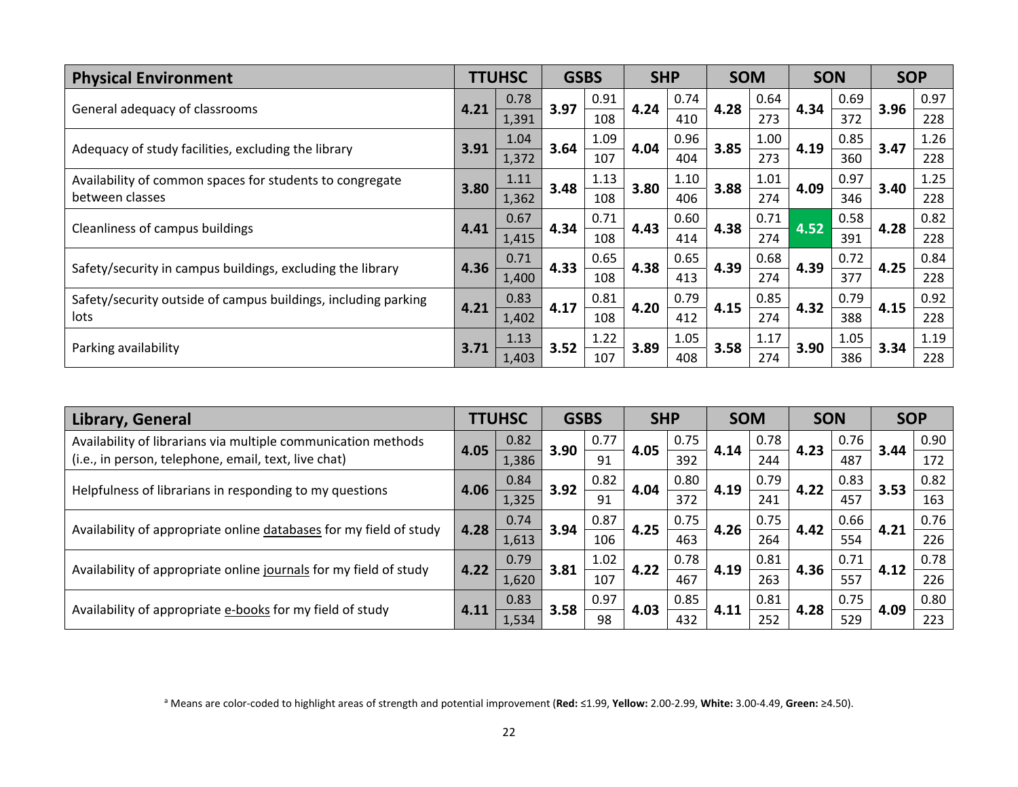| <b>Physical Environment</b>                                    |      | <b>TTUHSC</b> | <b>GSBS</b> |      | <b>SHP</b> |      | <b>SOM</b> |      | <b>SON</b> |      | <b>SOP</b> |      |
|----------------------------------------------------------------|------|---------------|-------------|------|------------|------|------------|------|------------|------|------------|------|
|                                                                | 4.21 | 0.78          | 3.97        | 0.91 | 4.24       | 0.74 | 4.28       | 0.64 | 4.34       | 0.69 | 3.96       | 0.97 |
| General adequacy of classrooms                                 |      | 1,391         |             | 108  |            | 410  |            | 273  |            | 372  |            | 228  |
| Adequacy of study facilities, excluding the library            | 3.91 | 1.04          | 3.64        | 1.09 | 4.04       | 0.96 | 3.85       | 1.00 | 4.19       | 0.85 | 3.47       | 1.26 |
|                                                                |      | 1,372         |             | 107  |            | 404  |            | 273  |            | 360  |            | 228  |
| Availability of common spaces for students to congregate       | 3.80 | 1.11          | 3.48        | 1.13 | 3.80       | 1.10 | 3.88       | 1.01 | 4.09       | 0.97 | 3.40       | 1.25 |
| between classes                                                |      | 1,362         |             | 108  |            | 406  |            | 274  |            | 346  |            | 228  |
| Cleanliness of campus buildings                                | 4.41 | 0.67          | 4.34        | 0.71 | 4.43       | 0.60 | 4.38       | 0.71 | 4.52       | 0.58 | 4.28       | 0.82 |
|                                                                |      | 1,415         |             | 108  |            | 414  |            | 274  |            | 391  |            | 228  |
| Safety/security in campus buildings, excluding the library     | 4.36 | 0.71          | 4.33        | 0.65 | 4.38       | 0.65 | 4.39       | 0.68 | 4.39       | 0.72 | 4.25       | 0.84 |
|                                                                |      | 1,400         |             | 108  |            | 413  |            | 274  |            | 377  |            | 228  |
| Safety/security outside of campus buildings, including parking | 4.21 | 0.83          | 4.17        | 0.81 | 4.20       | 0.79 | 4.15       | 0.85 | 4.32       | 0.79 | 4.15       | 0.92 |
| lots                                                           |      | 1,402         |             | 108  |            | 412  |            | 274  |            | 388  |            | 228  |
|                                                                |      | 1.13          | 3.52        | 1.22 | 3.89       | 1.05 | 3.58       | 1.17 |            | 1.05 |            | 1.19 |
| Parking availability                                           | 3.71 | 1,403         |             | 107  |            | 408  |            | 274  | 3.90       | 386  | 3.34       | 228  |

| Library, General                                                   |               | <b>TTUHSC</b> | <b>GSBS</b> |      | <b>SHP</b> |      | <b>SOM</b> |      | <b>SON</b> |      | <b>SOP</b> |      |
|--------------------------------------------------------------------|---------------|---------------|-------------|------|------------|------|------------|------|------------|------|------------|------|
| Availability of librarians via multiple communication methods      | 4.05          | 0.82          | 3.90        | 0.77 | 4.05       | 0.75 | 4.14       | 0.78 | 4.23       | 0.76 | 3.44       | 0.90 |
| (i.e., in person, telephone, email, text, live chat)               |               | 1,386         |             | 91   |            | 392  |            | 244  |            | 487  |            | 172  |
| Helpfulness of librarians in responding to my questions            | 4.06          | 0.84          | 3.92        | 0.82 | 4.04       | 0.80 | 4.19       | 0.79 | 4.22       | 0.83 | 3.53       | 0.82 |
|                                                                    |               | 1,325<br>0.74 |             | 91   |            | 372  |            | 241  |            | 457  |            | 163  |
| Availability of appropriate online databases for my field of study | 4.28<br>1,613 | 3.94          | 0.87        | 4.25 | 0.75       | 4.26 | 0.75       | 4.42 | 0.66       | 4.21 | 0.76       |      |
|                                                                    |               |               |             | 106  |            | 463  |            | 264  |            | 554  |            | 226  |
|                                                                    | 4.22          | 0.79          | 3.81        | 1.02 | 4.22       | 0.78 | 4.19       | 0.81 | 4.36       | 0.71 | 4.12       | 0.78 |
| Availability of appropriate online journals for my field of study  |               | 1,620         |             | 107  |            | 467  |            | 263  |            | 557  |            | 226  |
|                                                                    |               | 0.83          | 3.58        | 0.97 | 4.03       | 0.85 |            | 0.81 | 4.28       | 0.75 | 4.09       | 0.80 |
| Availability of appropriate e-books for my field of study          | 4.11          | 1,534         |             | 98   |            | 432  | 4.11       | 252  |            | 529  |            | 223  |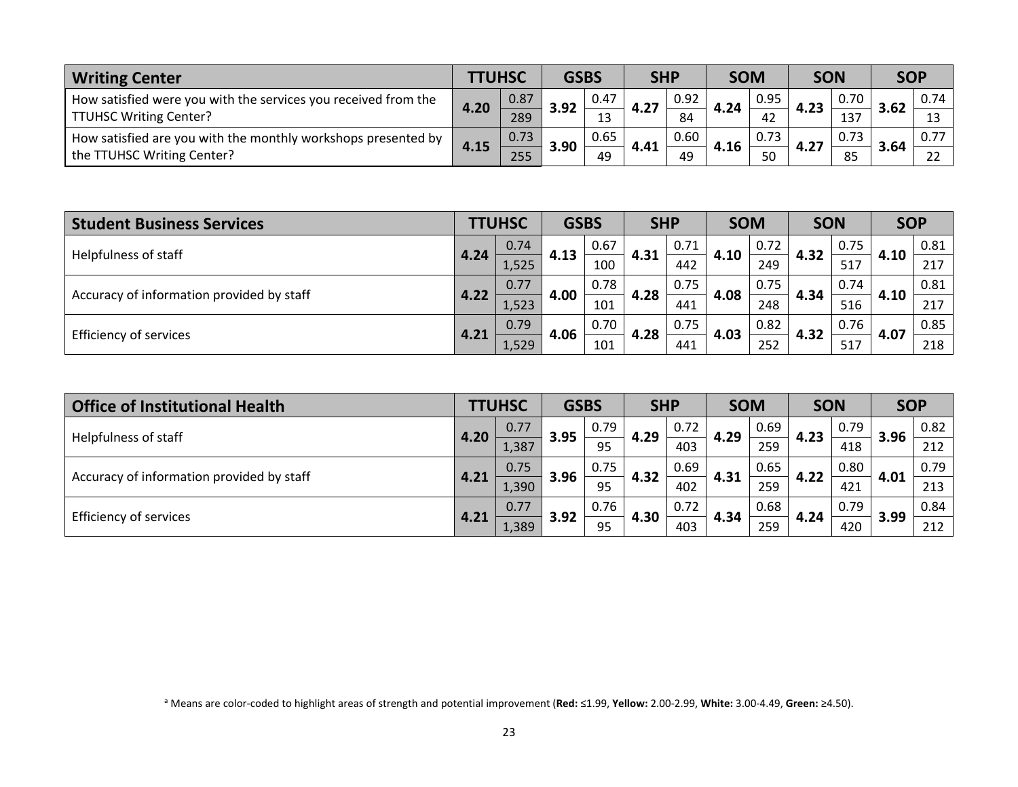| <b>Writing Center</b>                                          |      | <b>TUHSC</b> |      | <b>GSBS</b> |      | <b>SHP</b> | <b>SOM</b> |      | <b>SON</b> |      | SOP  |      |
|----------------------------------------------------------------|------|--------------|------|-------------|------|------------|------------|------|------------|------|------|------|
| How satisfied were you with the services you received from the |      | 0.87         | 3.92 | 0.47        | 4.27 | 0.92       | 4.24       | 0.95 | 4.23       | 0.70 | 3.62 | 0.74 |
| <b>TTUHSC Writing Center?</b>                                  | 4.20 | 289          |      | 13          |      | 84         |            |      |            | 137  |      |      |
| How satisfied are you with the monthly workshops presented by  | 4.15 | 0.73         | 3.90 | 0.65        | 4.41 | 0.60       | 4.16       | 0.73 | 4.27       | 0.73 | 3.64 |      |
| the TTUHSC Writing Center?                                     |      | 255          |      | 49          |      | 49         |            | 50   |            | 85   |      |      |

| <b>Student Business Services</b>          |               | <b>TTUHSC</b> | <b>GSBS</b> |      | <b>SHP</b> |      | <b>SOM</b> |      | <b>SON</b> |      | <b>SOP</b> |      |
|-------------------------------------------|---------------|---------------|-------------|------|------------|------|------------|------|------------|------|------------|------|
| Helpfulness of staff                      |               | 0.74          | 4.13        | 0.67 | 4.31       | 0.71 | 4.10       | 0.72 | 4.32       | 0.75 |            | 0.81 |
|                                           | 4.24<br>1,525 |               |             | 100  |            | 442  |            | 249  |            | 517  | 4.10       | 217  |
|                                           |               | 0.77          |             | 0.78 |            | 0.75 |            | 0.75 |            | 0.74 |            | 0.81 |
| Accuracy of information provided by staff | 4.22          | 1,523         | 4.00        | 101  | 4.28       | 441  | 4.08       | 248  | 4.34       | 516  | 4.10       | 217  |
| <b>Efficiency of services</b>             | 4.21          | 0.79          | 4.06        | 0.70 | 4.28       | 0.75 | 4.03       | 0.82 | 4.32       | 0.76 | 4.07       | 0.85 |
|                                           |               | 1,529         |             | 101  |            | 441  |            | 252  |            | 517  |            | 218  |

| Office of Institutional Health            |      | <b>TTUHSC</b> | <b>GSBS</b> |            | <b>SHP</b> |      | <b>SOM</b> |      | <b>SON</b> |      | <b>SOP</b> |      |      |
|-------------------------------------------|------|---------------|-------------|------------|------------|------|------------|------|------------|------|------------|------|------|
| Helpfulness of staff                      | 4.20 | 0.77          | 3.95        | 0.79       | 4.29       | 0.72 | 4.29       | 0.69 | 4.23       | 0.79 | 3.96       | 0.82 |      |
|                                           |      | 1,387         |             | 95         |            | 403  |            | 259  |            | 418  |            | 212  |      |
|                                           | 4.21 | 0.75          |             | 0.75       | 4.32       | 0.69 | 4.31       | 0.65 | 4.22       | 0.80 | 4.01       | 0.79 |      |
| Accuracy of information provided by staff |      | 1,390         | 3.96        | 95         |            | 402  |            | 259  |            | 421  |            | 213  |      |
|                                           |      | 0.77          | 3.92        | 0.76<br>95 |            |      | 0.72       | 4.34 | 0.68       |      | 0.79       | 3.99 | 0.84 |
| Efficiency of services                    | 4.21 | 1,389         |             |            |            | 4.30 | 403        |      | 259        | 4.24 | 420        |      | 212  |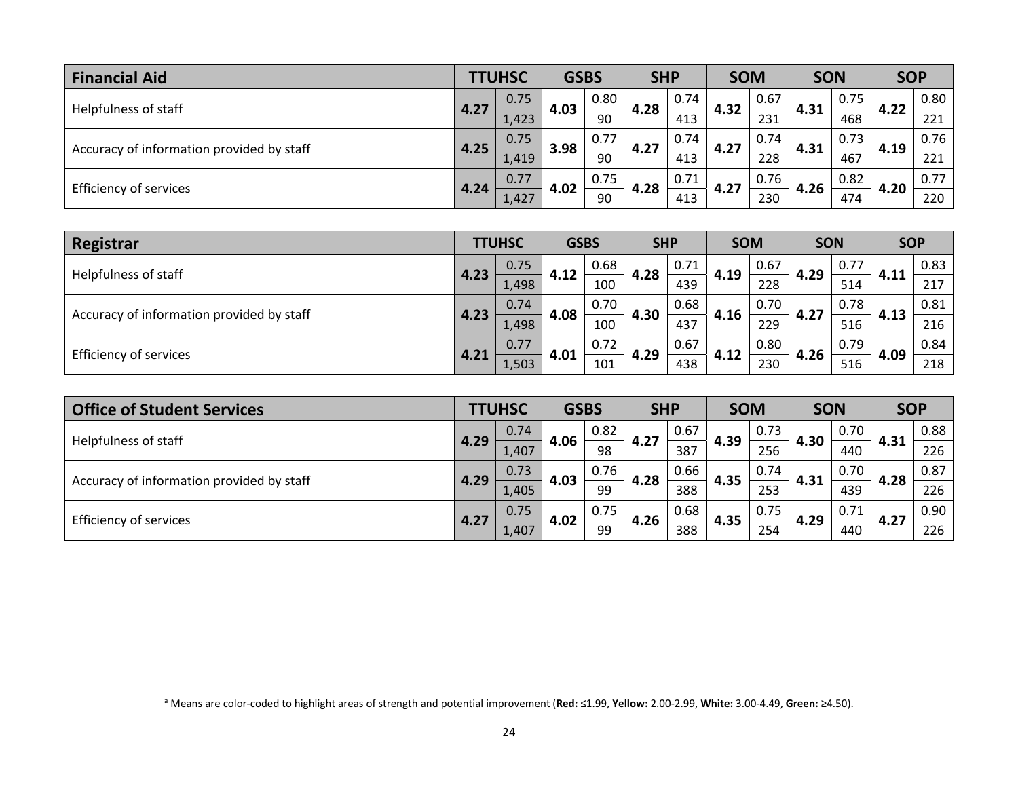| <b>Financial Aid</b>                      |      | <b>TTUHSC</b> | <b>GSBS</b>        |      | <b>SHP</b> |      | <b>SOM</b> |      | <b>SON</b> |      | <b>SOP</b> |      |      |
|-------------------------------------------|------|---------------|--------------------|------|------------|------|------------|------|------------|------|------------|------|------|
| Helpfulness of staff                      |      | 0.75          | 4.03               | 0.80 | 4.28       | 0.74 | 4.32       | 0.67 | 4.31       | 0.75 | 4.22       | 0.80 |      |
|                                           | 4.27 | 1,423         |                    | 90   |            | 413  |            | 231  |            | 468  |            | 221  |      |
|                                           | 4.25 | 0.75          | 3.98               | 0.77 | 4.27       | 0.74 | 4.27       | 0.74 |            | 0.73 |            | 0.76 |      |
| Accuracy of information provided by staff |      | 1,419         |                    | 90   |            | 413  |            | 228  | 4.31       | 467  | 4.19       | 221  |      |
|                                           |      | 0.77          | 0.75<br>4.02<br>90 |      |            | 0.71 |            | 4.27 | 0.76       | 4.26 | 0.82       | 4.20 | 0.77 |
| Efficiency of services                    | 4.24 | 1,427         |                    | 4.28 | 413        |      | 230        |      | 474        |      | 220        |      |      |

| Registrar                                 |      | <b>TTUHSC</b> | <b>GSBS</b> |      | <b>SHP</b> |      | <b>SOM</b> |      | <b>SON</b> |      | <b>SOP</b> |      |
|-------------------------------------------|------|---------------|-------------|------|------------|------|------------|------|------------|------|------------|------|
|                                           | 4.23 | 0.75          | 4.12        | 0.68 | 4.28       | 0.71 | 4.19       | 0.67 | 4.29       | 0.77 |            | 0.83 |
| Helpfulness of staff                      |      | 1,498         |             | 100  |            | 439  |            | 228  |            | 514  | 4.11       | 217  |
|                                           |      | 0.74          |             | 0.70 |            | 0.68 |            | 0.70 |            | 0.78 |            | 0.81 |
| Accuracy of information provided by staff | 4.23 | 1,498         | 4.08        | 100  | 4.30       | 437  | 4.16       | 229  | 4.27       | 516  | 4.13       | 216  |
|                                           | 4.21 | 0.77          | 4.01        | 0.72 | 4.29       | 0.67 |            | 0.80 |            | 0.79 | 4.09       | 0.84 |
| Efficiency of services                    |      | 1,503         |             | 101  |            | 438  | 4.12       | 230  | 4.26       | 516  |            | 218  |

| <b>Office of Student Services</b>         |      | <b>TTUHSC</b> | <b>GSBS</b> |      | <b>SHP</b> |      | <b>SOM</b> |      | <b>SON</b> |      | <b>SOP</b> |      |
|-------------------------------------------|------|---------------|-------------|------|------------|------|------------|------|------------|------|------------|------|
| Helpfulness of staff                      | 4.29 | 0.74          | 4.06        | 0.82 | 4.27       | 0.67 | 4.39       | 0.73 | 4.30       | 0.70 | 4.31       | 0.88 |
|                                           |      | 1,407         |             | 98   |            | 387  |            | 256  |            | 440  |            | 226  |
| Accuracy of information provided by staff | 4.29 | 0.73          | 4.03        | 0.76 | 4.28       | 0.66 | 4.35       | 0.74 |            | 0.70 | 4.28       | 0.87 |
|                                           |      | 1,405         |             | 99   |            | 388  |            | 253  | 4.31       | 439  |            | 226  |
| <b>Efficiency of services</b>             | 4.27 | 0.75          | 4.02        | 0.75 | 4.26       | 0.68 | 4.35       | 0.75 | 4.29       | 0.71 | 4.27       | 0.90 |
|                                           |      | 1,407         |             | 99   |            | 388  |            | 254  |            | 440  |            | 226  |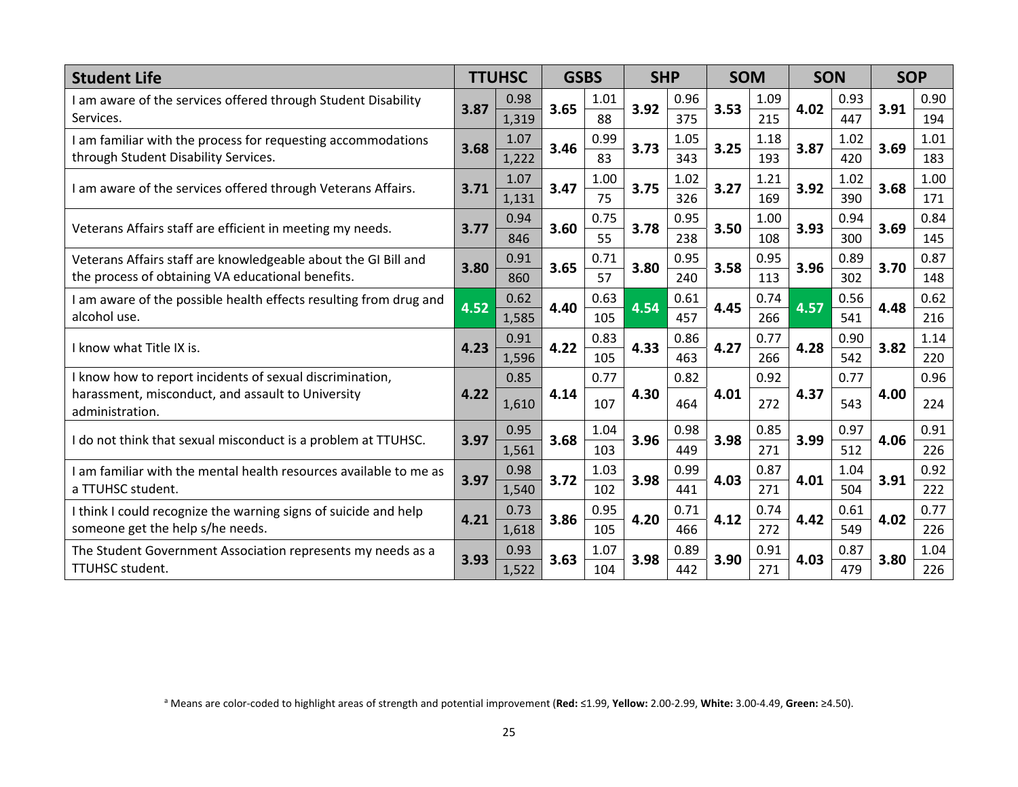| <b>Student Life</b>                                                  |      | <b>TTUHSC</b> | <b>GSBS</b> |      | <b>SHP</b> |      | <b>SOM</b> |      | <b>SON</b> |      | <b>SOP</b> |      |
|----------------------------------------------------------------------|------|---------------|-------------|------|------------|------|------------|------|------------|------|------------|------|
| I am aware of the services offered through Student Disability        | 3.87 | 0.98          | 3.65        | 1.01 | 3.92       | 0.96 | 3.53       | 1.09 | 4.02       | 0.93 | 3.91       | 0.90 |
| Services.                                                            |      | 1,319         |             | 88   |            | 375  |            | 215  |            | 447  |            | 194  |
| I am familiar with the process for requesting accommodations         | 3.68 | 1.07          | 3.46        | 0.99 | 3.73       | 1.05 | 3.25       | 1.18 | 3.87       | 1.02 | 3.69       | 1.01 |
| through Student Disability Services.                                 |      | 1,222         |             | 83   |            | 343  |            | 193  |            | 420  |            | 183  |
| I am aware of the services offered through Veterans Affairs.         | 3.71 | 1.07          | 3.47        | 1.00 | 3.75       | 1.02 | 3.27       | 1.21 | 3.92       | 1.02 | 3.68       | 1.00 |
|                                                                      |      | 1,131         |             | 75   |            | 326  |            | 169  |            | 390  |            | 171  |
| Veterans Affairs staff are efficient in meeting my needs.            | 3.77 | 0.94          | 3.60        | 0.75 | 3.78       | 0.95 | 3.50       | 1.00 | 3.93       | 0.94 | 3.69       | 0.84 |
|                                                                      |      | 846           |             | 55   |            | 238  |            | 108  |            | 300  |            | 145  |
| Veterans Affairs staff are knowledgeable about the GI Bill and       | 3.80 | 0.91          | 3.65        | 0.71 | 3.80       | 0.95 | 3.58       | 0.95 | 3.96       | 0.89 | 3.70       | 0.87 |
| the process of obtaining VA educational benefits.                    |      | 860           |             | 57   |            | 240  |            | 113  |            | 302  |            | 148  |
| I am aware of the possible health effects resulting from drug and    | 4.52 | 0.62          | 4.40        | 0.63 | 4.54       | 0.61 | 4.45       | 0.74 | 4.57       | 0.56 | 4.48       | 0.62 |
| alcohol use.                                                         |      | 1,585         |             | 105  |            | 457  |            | 266  |            | 541  |            | 216  |
| I know what Title IX is.                                             | 4.23 | 0.91          | 4.22        | 0.83 | 4.33       | 0.86 | 4.27       | 0.77 | 4.28       | 0.90 | 3.82       | 1.14 |
|                                                                      |      | 1,596         |             | 105  |            | 463  |            | 266  |            | 542  |            | 220  |
| I know how to report incidents of sexual discrimination,             |      | 0.85          |             | 0.77 |            | 0.82 |            | 0.92 |            | 0.77 |            | 0.96 |
| harassment, misconduct, and assault to University<br>administration. | 4.22 | 1,610         | 4.14        | 107  | 4.30       | 464  | 4.01       | 272  | 4.37       | 543  | 4.00       | 224  |
| I do not think that sexual misconduct is a problem at TTUHSC.        | 3.97 | 0.95          | 3.68        | 1.04 | 3.96       | 0.98 | 3.98       | 0.85 | 3.99       | 0.97 | 4.06       | 0.91 |
|                                                                      |      | 1,561         |             | 103  |            | 449  |            | 271  |            | 512  |            | 226  |
| I am familiar with the mental health resources available to me as    | 3.97 | 0.98          | 3.72        | 1.03 | 3.98       | 0.99 | 4.03       | 0.87 | 4.01       | 1.04 | 3.91       | 0.92 |
| a TTUHSC student.                                                    |      | 1,540         |             | 102  |            | 441  |            | 271  |            | 504  |            | 222  |
| I think I could recognize the warning signs of suicide and help      | 4.21 | 0.73          | 3.86        | 0.95 | 4.20       | 0.71 | 4.12       | 0.74 | 4.42       | 0.61 | 4.02       | 0.77 |
| someone get the help s/he needs.                                     |      | 1,618         |             | 105  |            | 466  |            | 272  |            | 549  |            | 226  |
| The Student Government Association represents my needs as a          | 3.93 | 0.93          | 3.63        | 1.07 | 3.98       | 0.89 | 3.90       | 0.91 | 4.03       | 0.87 | 3.80       | 1.04 |
| TTUHSC student.                                                      |      | 1,522         |             | 104  |            | 442  |            | 271  |            | 479  |            | 226  |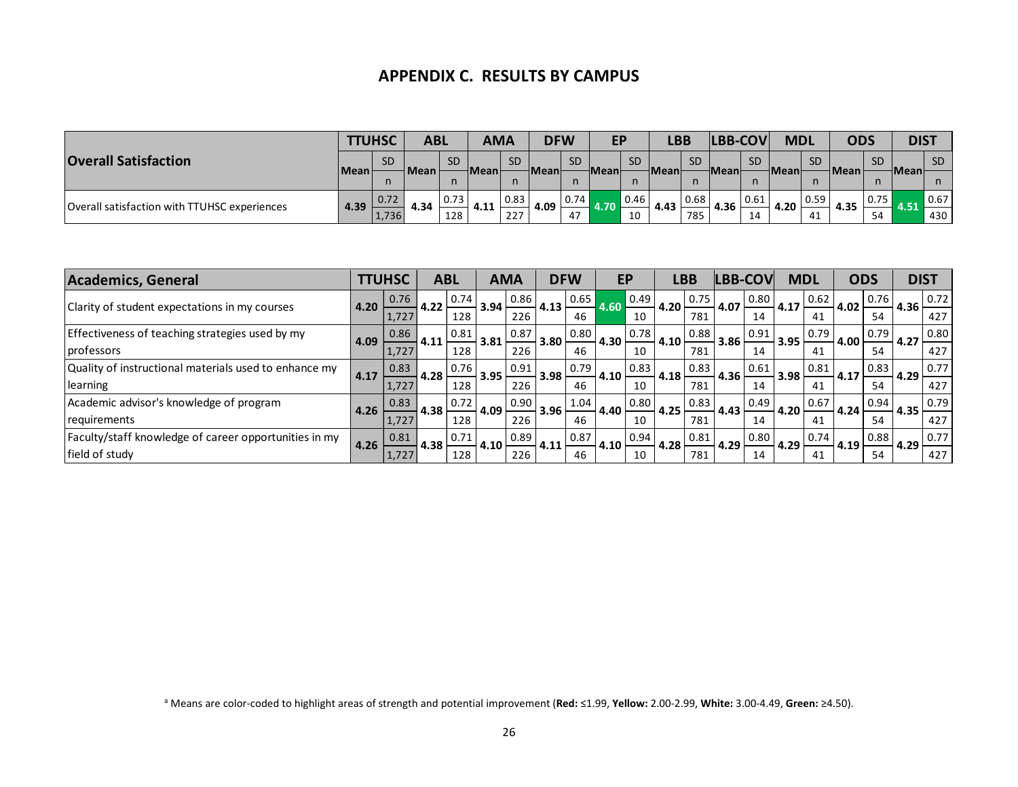#### **APPENDIX C. RESULTS BY CAMPUS**

|                                              |        | <b>TTUHSC</b> | ABL         |              |      | <b>AMA</b> | <b>DFW</b> |                    | <b>EP</b>   |      | <b>LBB</b>    |           | <b>LBB-COV</b> |           | <b>MDL</b> |           | <b>ODS</b>  |           | <b>DIST</b>  |           |
|----------------------------------------------|--------|---------------|-------------|--------------|------|------------|------------|--------------------|-------------|------|---------------|-----------|----------------|-----------|------------|-----------|-------------|-----------|--------------|-----------|
| <b>Overall Satisfaction</b>                  | Mean l | <b>SD</b>     | <b>Mean</b> | <b>SD</b>    | Mean | <b>SD</b>  | Meanl      | <b>SD</b>          | <b>Mean</b> | SD.  | <b>HMeanh</b> | <b>SD</b> | <b>Mean</b>    | <b>SD</b> | -Meanl     | <b>SD</b> | <b>Mean</b> | <b>SD</b> | <b>Meanl</b> | <b>SD</b> |
|                                              |        | n             |             | $\mathsf{n}$ |      |            |            |                    |             | n    |               |           |                |           |            |           |             |           |              |           |
|                                              | 4.39   | 0.72          | 4.34        | 0.73         | 4.11 | 0.83       | 4.09       | $\vert 0.74 \vert$ | 4.70        | 0.46 | 4.43          | 0.68      | 4.36           | 0.61      | 4.20       | 0.59      | 4.35        | 0.75      | 4.51         | 0.67      |
| Overall satisfaction with TTUHSC experiences |        | 1,736         |             | 128          |      | 227        |            | 47                 |             | 10   |               | 785       |                | 14        |            | 41        |             | 54        |              | 430       |

| <b>Academics, General</b>                             |      | <b>TTUHSC</b> |      | <b>ABL</b> |      | <b>AMA</b> |      | <b>DFW</b> |      | EP                 |      | LBB  |      | <b>ILBB-COVI</b> |      | <b>MDL</b> |      | <b>ODS</b> | <b>DIST</b> |      |
|-------------------------------------------------------|------|---------------|------|------------|------|------------|------|------------|------|--------------------|------|------|------|------------------|------|------------|------|------------|-------------|------|
|                                                       | 4.20 | 0.76          | 4.22 | 0.74       | 3.94 | 0.86       | 4.13 | 0.65       | 4.60 | $\vert 0.49 \vert$ | 4.20 | 0.75 | 4.07 | 0.80             | 4.17 | 0.62       | 4.02 | 0.76       | 4.36        | 0.72 |
| Clarity of student expectations in my courses         |      | 1.727         |      | 128        |      | 226        |      | 46         |      | 10                 |      | 781  |      | 14               |      | 41         |      | 54         |             | 427  |
| Effectiveness of teaching strategies used by my       | 4.09 | 0.86          | 4.11 | 0.81       | 3.81 | 0.87       | 3.80 | 0.80       | 4.30 | 0.78               | 4.10 | 0.88 | 3.86 | 0.91             | 3.95 | 0.79       | 4.00 | 0.79       | 4.27        | 0.80 |
| professors                                            |      | 1,727         |      | 128        |      | 226        |      | 46         |      | 10                 |      | 781  |      | 14               |      |            |      | 54         |             | 427  |
| Quality of instructional materials used to enhance my | 4.17 | 0.83          | 4.28 | 0.76       | 3.95 | 0.91       | 3.98 | 0.79       | 4.10 | 0.83               |      | 0.83 |      | 0.61             | 3.98 | 0.81       | 4.17 | 0.83       | 4.29        | 0.77 |
| learning                                              |      | 1,727         |      | 128        |      | 226        |      | 46         |      | 10                 | 4.18 | 781  | 4.36 | 14               |      | 41         |      | 54         |             | 427  |
| Academic advisor's knowledge of program               | 4.26 | 0.83          | 4.38 | 0.72       | 4.09 | 0.90       | 3.96 | 1.04       | 4.40 | 0.80               | 4.25 | 0.83 | 4.43 | 0.49             | 4.20 | 0.67       | 4.24 | 0.94       | 4.35        | 0.79 |
| requirements                                          |      | 1.727         |      | 128        |      | 226        |      | 46         |      | 10                 |      | 781  |      | 14               |      | 41         |      | 54         |             | 427  |
| Faculty/staff knowledge of career opportunities in my | 4.26 | 0.81          | 4.38 | 0.71       | 4.10 | 0.89       | 4.11 | 0.87       | 4.10 | 0.94               | 4.28 | 0.81 | 4.29 | 0.80             | 4.29 | 0.74       | 4.19 | 0.88       | 4.29        | 0.77 |
| field of study                                        |      | 1,727         |      | 128        |      | 226        |      | 46         |      | 10                 |      | 781  |      | 14               |      | 41         |      | 54         |             | 427  |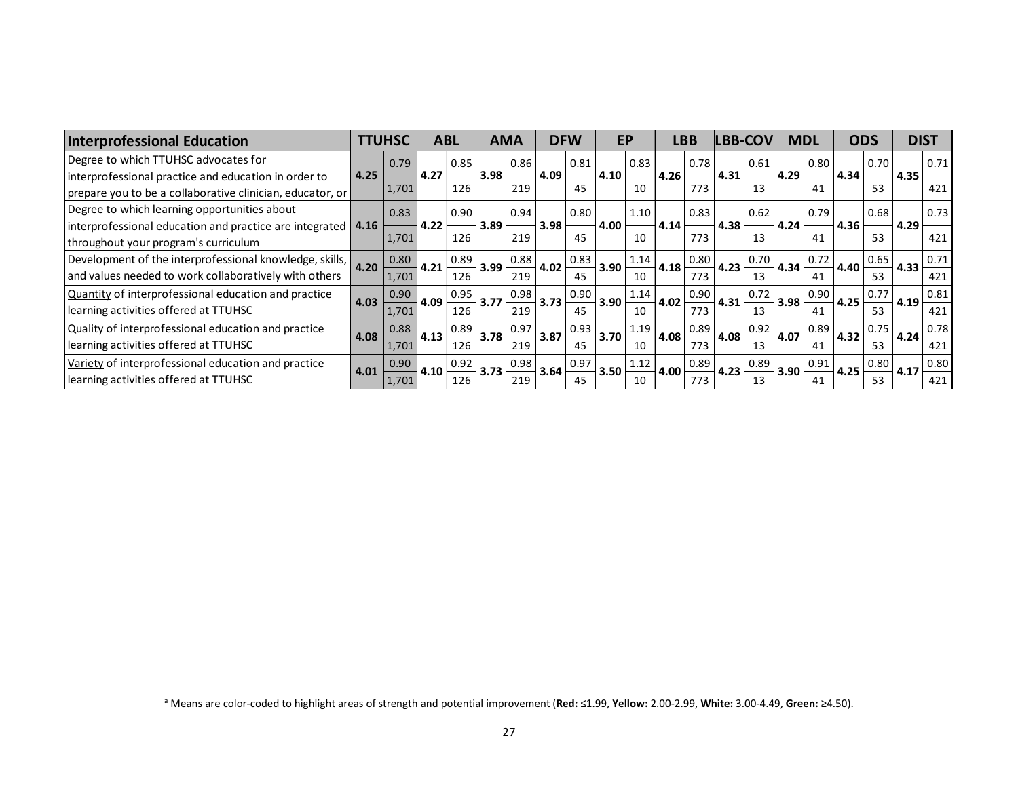| <b>Interprofessional Education</b>                                   |      | <b>TTUHSC</b> |      | <b>ABL</b> |      | <b>AMA</b> |      | <b>DFW</b> |      | EP   |      | <b>LBB</b> | <b>LBB-COV</b> |      | <b>MDL</b> |      |      | <b>ODS</b> | <b>DIST</b> |      |
|----------------------------------------------------------------------|------|---------------|------|------------|------|------------|------|------------|------|------|------|------------|----------------|------|------------|------|------|------------|-------------|------|
| Degree to which TTUHSC advocates for                                 |      | 0.79          |      | 0.85       |      | 0.86       |      | 0.81       |      | 0.83 |      | 0.78       |                | 0.61 |            | 0.80 |      | 0.70       |             | 0.71 |
| interprofessional practice and education in order to                 | 4.25 |               | 4.27 |            | 3.98 |            | 4.09 |            | 4.10 |      | 4.26 |            | 4.31           |      | 4.29       |      | 4.34 |            | 4.35        |      |
| prepare you to be a collaborative clinician, educator, or            |      | 1,701         |      | 126        |      | 219        |      | 45         |      | 10   |      | 773        |                | 13   |            | 41   |      | 53         |             | 421  |
| Degree to which learning opportunities about                         |      | 0.83          |      | 0.90       |      | 0.94       |      | 0.80       |      | 1.10 |      | 0.83       |                | 0.62 |            | 0.79 |      | 0.68       |             | 0.73 |
| interprofessional education and practice are integrated $\vert$ 4.16 |      |               | 4.22 |            | 3.89 |            | 3.98 |            | 4.00 |      | 4.14 |            | 4.38           |      | 4.24       |      | 4.36 |            | 4.29        |      |
| throughout your program's curriculum                                 |      | 1,701         |      | 126        |      | 219        |      | 45         |      | 10   |      | 773        |                | 13   |            | 41   |      | 53         |             | 421  |
| Development of the interprofessional knowledge, skills,              | 4.20 | 0.80          | 4.21 | 0.89       | 3.99 | 0.88       | 4.02 | 0.83       | 3.90 | 1.14 | 4.18 | 0.80       | 4.23           | 0.70 | 4.34       | 0.72 | 4.40 | 0.65       | 4.33        | 0.71 |
| and values needed to work collaboratively with others                |      | 1,701         |      | 126        |      | 219        |      | 45         |      | 10   |      | 773        |                | 13   |            | 41   |      | 53         |             | 421  |
| Quantity of interprofessional education and practice                 | 4.03 | 0.90          | 4.09 | 0.95       | 3.77 | 0.98       | 3.73 | 0.90       | 3.90 | 1.14 | 4.02 | 0.90       | 4.31           | 0.72 | 3.98       | 0.90 | 4.25 | 0.77       | 4.19        | 0.81 |
| learning activities offered at TTUHSC                                |      | 1,701         |      | 126        |      | 219        |      | 45         |      | 10   |      | 773        |                | 13   |            | 41   |      | 53         |             | 421  |
| Quality of interprofessional education and practice                  | 4.08 | 0.88          | 4.13 | 0.89       | 3.78 | 0.97       | 3.87 | 0.93       | 3.70 | 1.19 | 4.08 | 0.89       | 4.08           | 0.92 | 4.07       | 0.89 | 4.32 | 0.75       | 4.24        | 0.78 |
| learning activities offered at TTUHSC                                |      | 1,701         |      | 126        |      | 219        |      | 45         |      | 10   |      | 773        |                | 13   |            | 41   |      | 53         |             | 421  |
| Variety of interprofessional education and practice                  | 4.01 | 0.90          | 4.10 | 0.92       | 3.73 | 0.98       | 3.64 | 0.97       | 3.50 | 1.12 | 4.00 | 0.89       | 4.23           | 0.89 | 3.90       | 0.91 | 4.25 | 0.80       | 4.17        | 0.80 |
| learning activities offered at TTUHSC                                |      | 1,701         |      | 126        |      | 219        |      | 45         |      | 10   |      | 773        |                | 13   |            | 41   |      | 53         |             | 421  |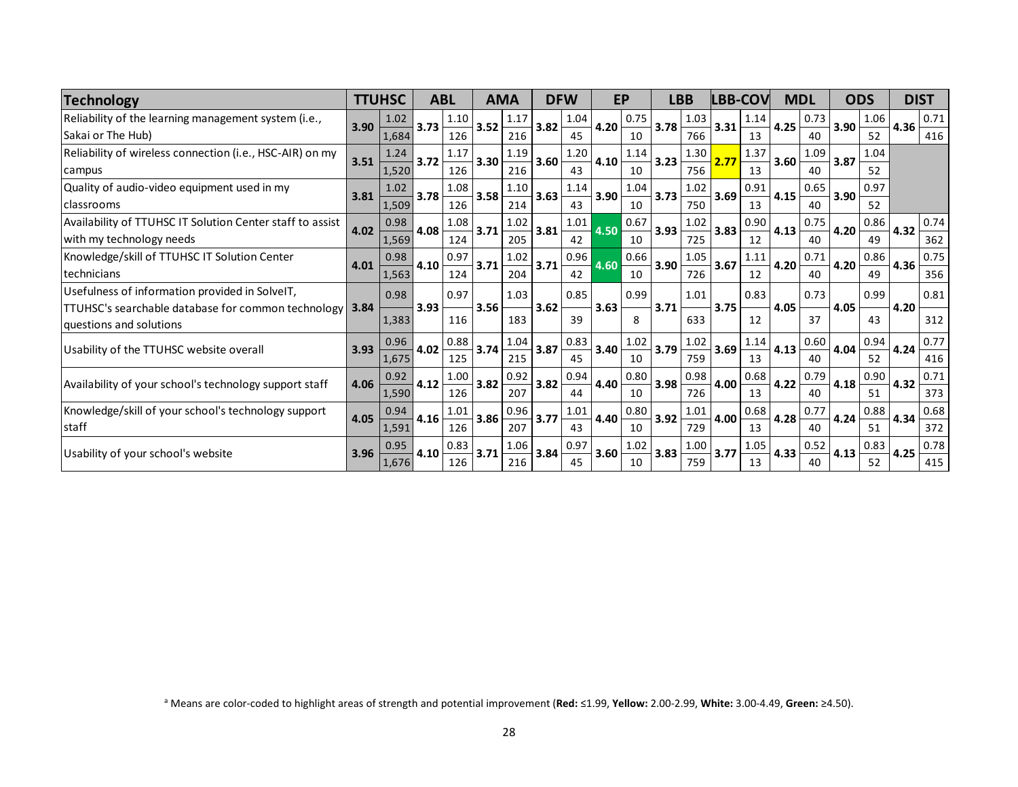| <b>Technology</b>                                                                                                                           |      | <b>TTUHSC</b> |      | <b>ABL</b>  |      | AMA         |      | <b>DFW</b> |      | <b>EP</b>  |      | <b>LBB</b>  |      | LBB-COV    | <b>MDL</b> |            |      | <b>ODS</b> |      | <b>DIST</b> |
|---------------------------------------------------------------------------------------------------------------------------------------------|------|---------------|------|-------------|------|-------------|------|------------|------|------------|------|-------------|------|------------|------------|------------|------|------------|------|-------------|
| Reliability of the learning management system (i.e.,<br>Sakai or The Hub)                                                                   | 3.90 | 1.02<br>1,684 | 3.73 | 1.10<br>126 | 3.52 | 1.17<br>216 | 3.82 | 1.04<br>45 | 4.20 | 0.75<br>10 | 3.78 | 1.03<br>766 | 3.31 | 1.14<br>13 | 4.25       | 0.73<br>40 | 3.90 | 1.06<br>52 | 4.36 | 0.71<br>416 |
| Reliability of wireless connection (i.e., HSC-AIR) on my<br>campus                                                                          | 3.51 | 1.24<br>1,520 | 3.72 | 1.17<br>126 | 3.30 | 1.19<br>216 | 3.60 | 1.20<br>43 | 4.10 | 1.14<br>10 | 3.23 | 1.30<br>756 | 2.77 | 1.37<br>13 | 3.60       | 1.09<br>40 | 3.87 | 1.04<br>52 |      |             |
| Quality of audio-video equipment used in my<br>l classrooms                                                                                 | 3.81 | 1.02<br>1,509 | 3.78 | 1.08<br>126 | 3.58 | 1.10<br>214 | 3.63 | 1.14<br>43 | 3.90 | 1.04<br>10 | 3.73 | 1.02<br>750 | 3.69 | 0.91<br>13 | 4.15       | 0.65<br>40 | 3.90 | 0.97<br>52 |      |             |
| Availability of TTUHSC IT Solution Center staff to assist<br>with my technology needs                                                       | 4.02 | 0.98<br>1,569 | 4.08 | 1.08<br>124 | 3.71 | 1.02<br>205 | 3.81 | 1.01<br>42 | 4.50 | 0.67<br>10 | 3.93 | 1.02<br>725 | 3.83 | 0.90<br>12 | 4.13       | 0.75<br>40 | 4.20 | 0.86<br>49 | 4.32 | 0.74<br>362 |
| Knowledge/skill of TTUHSC IT Solution Center<br>l technicians                                                                               | 4.01 | 0.98<br>1,563 | 4.10 | 0.97<br>124 | 3.71 | 1.02<br>204 | 3.71 | 0.96<br>42 | 4.60 | 0.66<br>10 | 3.90 | 1.05<br>726 | 3.67 | 1.11<br>12 | 4.20       | 0.71<br>40 | 4.20 | 0.86<br>49 | 4.36 | 0.75<br>356 |
| Usefulness of information provided in SolveIT,<br><b>TTUHSC's searchable database for common technology 3.84</b><br>questions and solutions |      | 0.98<br>1,383 | 3.93 | 0.97<br>116 | 3.56 | 1.03<br>183 | 3.62 | 0.85<br>39 | 3.63 | 0.99<br>8  | 3.71 | 1.01<br>633 | 3.75 | 0.83<br>12 | 4.05       | 0.73<br>37 | 4.05 | 0.99<br>43 | 4.20 | 0.81<br>312 |
| Usability of the TTUHSC website overall                                                                                                     | 3.93 | 0.96<br>1,675 | 4.02 | 0.88<br>125 | 3.74 | 1.04<br>215 | 3.87 | 0.83<br>45 | 3.40 | 1.02<br>10 | 3.79 | 1.02<br>759 | 3.69 | 1.14<br>13 | 4.13       | 0.60<br>40 | 4.04 | 0.94<br>52 | 4.24 | 0.77<br>416 |
| Availability of your school's technology support staff                                                                                      | 4.06 | 0.92<br>1,590 | 4.12 | 1.00<br>126 | 3.82 | 0.92<br>207 | 3.82 | 0.94<br>44 | 4.40 | 0.80<br>10 | 3.98 | 0.98<br>726 | 4.00 | 0.68<br>13 | 4.22       | 0.79<br>40 | 4.18 | 0.90<br>51 | 4.32 | 0.71<br>373 |
| Knowledge/skill of your school's technology support<br>staff                                                                                | 4.05 | 0.94<br>1,591 | 4.16 | 1.01<br>126 | 3.86 | 0.96<br>207 | 3.77 | 1.01<br>43 | 4.40 | 0.80<br>10 | 3.92 | 1.01<br>729 | 4.00 | 0.68<br>13 | 4.28       | 0.77<br>40 | 4.24 | 0.88<br>51 | 4.34 | 0.68<br>372 |
| Usability of your school's website                                                                                                          | 3.96 | 0.95<br>1,676 | 4.10 | 0.83<br>126 | 3.71 | 1.06<br>216 | 3.84 | 0.97<br>45 | 3.60 | 1.02<br>10 | 3.83 | 1.00<br>759 | 3.77 | 1.05<br>13 | 4.33       | 0.52<br>40 | 4.13 | 0.83<br>52 | 4.25 | 0.78<br>415 |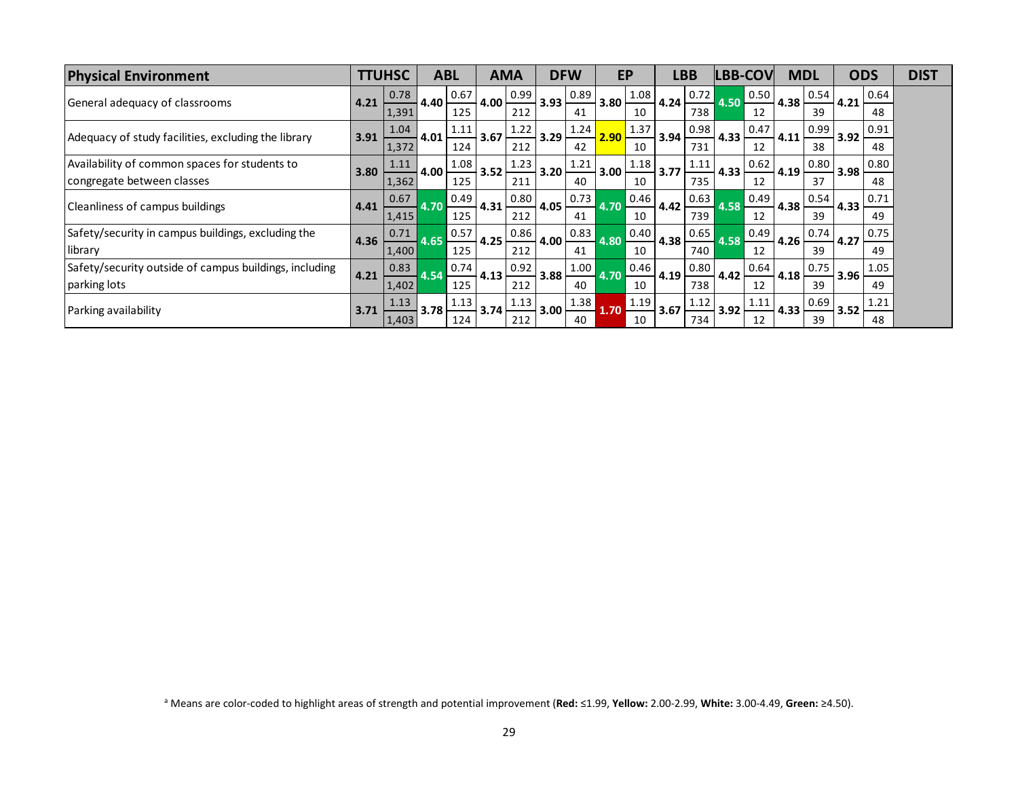| <b>Physical Environment</b>                                                 |      | <b>TTUHSC</b>  |      | <b>ABL</b>  |      | <b>AMA</b>  |      | <b>DFW</b> |            | EP         |      | LBB         |          | <b>LBB-COV</b> | <b>MDL</b> |            |      | <b>ODS</b> | <b>DIST</b> |
|-----------------------------------------------------------------------------|------|----------------|------|-------------|------|-------------|------|------------|------------|------------|------|-------------|----------|----------------|------------|------------|------|------------|-------------|
| General adequacy of classrooms                                              | 4.21 | 0.78<br>1,391  | 4.40 | 0.67<br>125 | 4.00 | 0.99<br>212 | 3.93 | 0.89<br>41 | 3.80       | 1.08<br>10 | 4.24 | 0.72<br>738 | $4.50 -$ | 0.50 <br>12    | 4.38       | 0.54<br>39 | 4.21 | 0.64<br>48 |             |
| Adequacy of study facilities, excluding the library                         | 3.91 | 1.04<br>1,372  | 4.01 | 1.11<br>124 | 3.67 | 1.22<br>212 | 3.29 | 1.24<br>42 | $2.90 \pm$ | 1.37<br>10 | 3.94 | 0.98<br>731 | 4.33     | 0.47<br>12     | 4.11       | 0.99<br>38 | 3.92 | 0.91<br>48 |             |
| Availability of common spaces for students to<br>congregate between classes | 3.80 | 1.11<br>1,362  | 4.00 | 1.08<br>125 | 3.52 | 1.23<br>211 | 3.20 | 1.21<br>40 | 3.00       | 1.18<br>10 | 3.77 | 1.11<br>735 | 4.33     | 0.62<br>12     | 4.19       | 0.80<br>37 | 3.98 | 0.80<br>48 |             |
| Cleanliness of campus buildings                                             | 4.41 | 0.67<br>1,415  | 4.70 | 0.49<br>125 | 4.31 | 0.80<br>212 | 4.05 | 0.73<br>41 | 4.70       | 0.46<br>10 | 4.42 | 0.63<br>739 | 4.58     | 0.49<br>12     | 4.38       | 0.54<br>39 | 4.33 | 0.71<br>49 |             |
| Safety/security in campus buildings, excluding the<br>library               | 4.36 | 0.71<br>1,400  | 4.65 | 0.57<br>125 | 4.25 | 0.86<br>212 | 4.00 | 0.83<br>41 | 4.80       | 0.40<br>10 | 4.38 | 0.65<br>740 | 4.58     | 0.49<br>12     | 4.26       | 0.74<br>39 | 4.27 | 0.75<br>49 |             |
| Safety/security outside of campus buildings, including<br>parking lots      | 4.21 | 0.83<br> 1,402 | 4.54 | 0.74<br>125 | 4.13 | 0.92<br>212 | 3.88 | 1.00<br>40 | 4.70       | 0.46<br>10 | 4.19 | 0.80<br>738 | 4.42     | 0.64<br>12     | 4.18       | 0.75<br>39 | 3.96 | 1.05<br>49 |             |
| Parking availability                                                        | 3.71 | 1.13<br> 1,403 | 3.78 | 1.13<br>124 | 3.74 | 1.13<br>212 | 3.00 | 1.38<br>40 | 1.70       | 1.19<br>10 | 3.67 | 1.12<br>734 | 3.92     | 1.11<br>12     | 4.33       | 0.69<br>39 | 3.52 | 1.21<br>48 |             |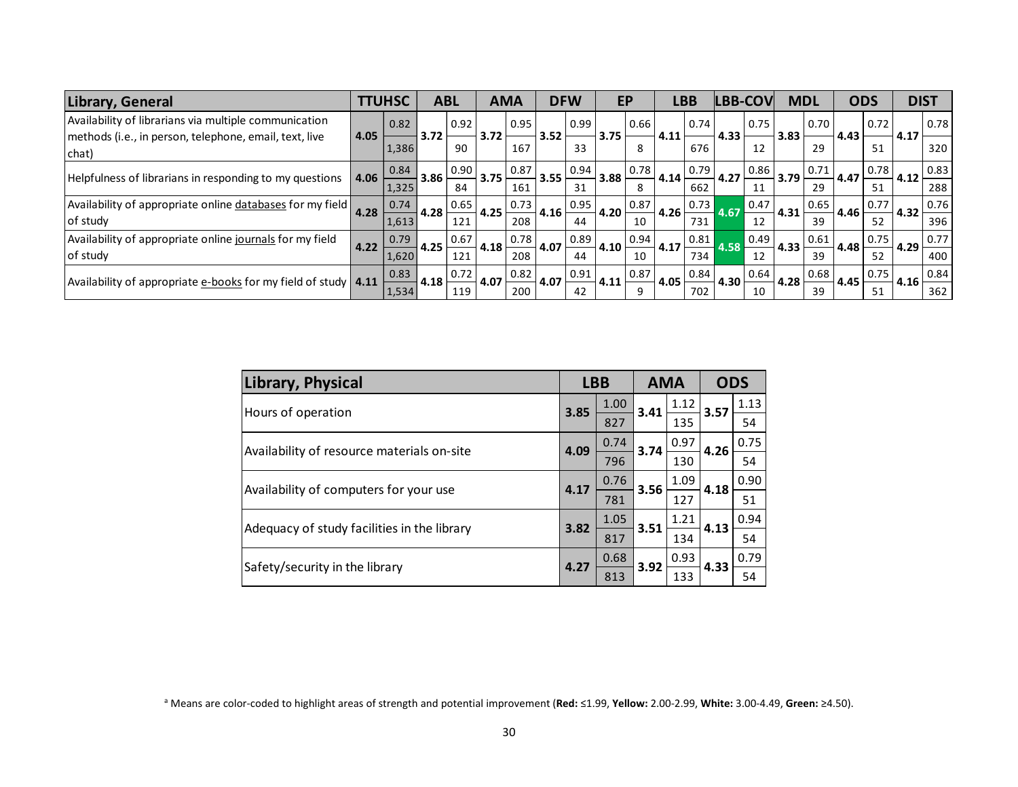| Library, General                                                 |      | <b>TTUHSC</b> |      | <b>ABL</b> |         | <b>AMA</b> |      | <b>DFW</b> |      | EP   |      | LBB  |      | <b>LBB-COV</b> |      | <b>MDL</b> | <b>ODS</b> |      |      | <b>DIST</b> |
|------------------------------------------------------------------|------|---------------|------|------------|---------|------------|------|------------|------|------|------|------|------|----------------|------|------------|------------|------|------|-------------|
| Availability of librarians via multiple communication            |      | 0.82          |      | 0.92       |         | 0.95       |      | 0.99       |      | 0.66 |      | 0.74 |      | 0.75           |      | 0.70       |            | 0.72 |      | 0.78        |
| methods (i.e., in person, telephone, email, text, live<br>chat)  | 4.05 | 1.386         | 3.72 | 90         | 3.72    | 167        | 3.52 | 33         | 3.75 | 8    | 4.11 | 676  | 4.33 | 12             | 3.83 | 29         | 4.43       | 51   | 4.17 | 320         |
| Helpfulness of librarians in responding to my questions          | 4.06 | 0.84          | 3.86 | 0.90       | 3.75    | 0.87       | 3.55 | 0.94       | 3.88 | 0.78 | 4.14 | 0.79 | 4.27 | 0.86           | 3.79 | 0.71       | 4.47       | 0.78 | 4.12 | 0.83        |
|                                                                  |      | 1,325         |      | 84         |         | 161        |      | 31         |      | 8    |      | 662  |      | 11             |      | 29         |            | 51   |      | 288         |
| Availability of appropriate online databases for my field        | 4.28 | 0.74          | 4.28 | 0.65       | 4.25    | 0.73       | 4.16 | 0.95       | 4.20 | 0.87 | 4.26 | 0.73 | 4.67 | 0.47           | 4.31 | 0.65       | 4.46       | 0.77 | 4.32 | 0.76        |
| of study                                                         |      | 1,613         |      | 121        |         | 208        |      | 44         |      | 10   |      | 731  |      | 12             |      | 39         |            | 52   |      | 396         |
| Availability of appropriate online journals for my field         | 4.22 | 0.79          | 4.25 | 0.67       | 4.18    | 0.78       | 4.07 | 0.89       | 4.10 | 0.94 | 4.17 | 0.81 |      | 0.49           | 4.33 | 0.61       | 4.48       | 0.75 | 4.29 | 0.77        |
| of study                                                         |      | 1,620         |      | 121        |         | 208        |      | 44         |      | 10   |      | 734  |      | 12             |      | 39         |            | 52   |      | 400         |
| Availability of appropriate e-books for my field of study   4.11 |      | 0.83          | 4.18 | 0.72       | $-4.07$ | 0.82       | 4.07 | 0.91       | 4.11 | 0.87 | 4.05 | 0.84 | 4.30 | 0.64           | 4.28 | 0.68       | 4.45       | 0.75 | 4.16 | 0.84        |
|                                                                  |      | 1,534         |      | 119        |         | 200        |      | 42         |      | 9    |      | 702  |      | 10             |      | 39         |            | 51   |      | 362         |

| Library, Physical                           |      | <b>LBB</b> | <b>AMA</b> |      | <b>ODS</b> |      |
|---------------------------------------------|------|------------|------------|------|------------|------|
| Hours of operation                          | 3.85 | 1.00       | 3.41       | 1.12 | 3.57       | 1.13 |
|                                             |      | 827        |            | 135  |            | 54   |
|                                             | 4.09 | 0.74       | 3.74       | 0.97 | 4.26       | 0.75 |
| Availability of resource materials on-site  |      | 796        |            | 130  |            | 54   |
|                                             | 4.17 | 0.76       | 3.56       | 1.09 | 4.18       | 0.90 |
| Availability of computers for your use      |      | 781        |            | 127  |            | 51   |
|                                             | 3.82 | 1.05       |            | 1.21 | 4.13       | 0.94 |
| Adequacy of study facilities in the library |      | 817        | 3.51       | 134  |            | 54   |
|                                             | 4.27 | 0.68       | 3.92       | 0.93 | 4.33       | 0.79 |
| Safety/security in the library              |      | 813        |            | 133  |            | 54   |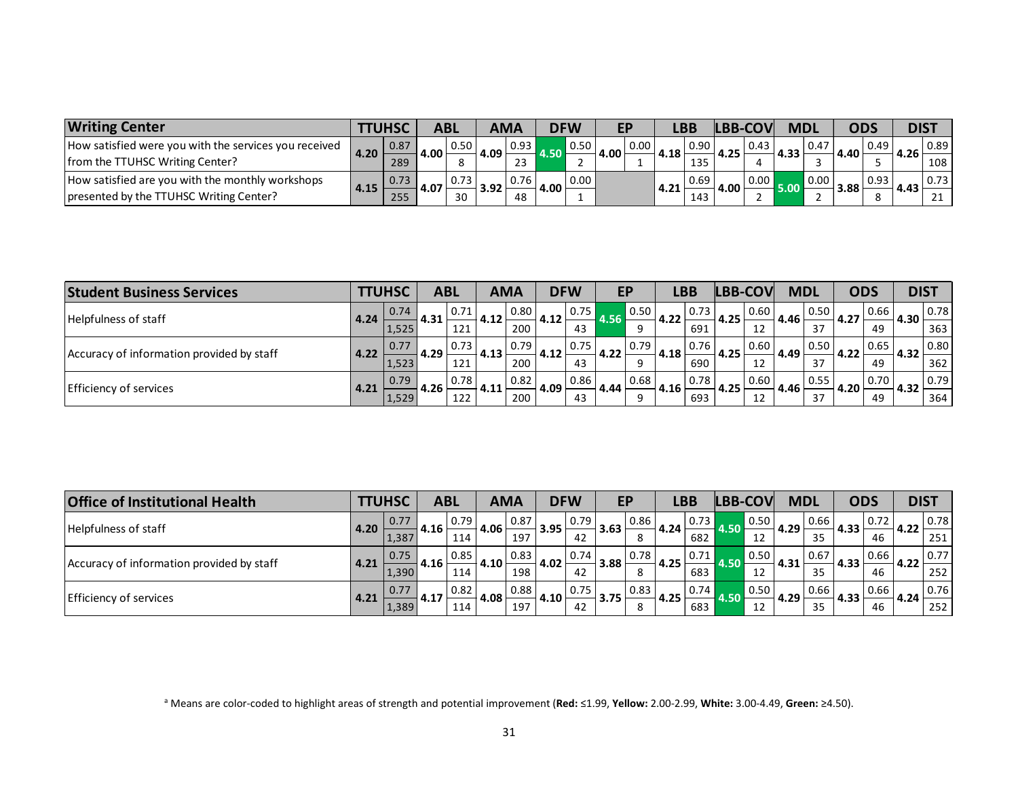| <b>Writing Center</b>                                 |        |      |        | ABL  |      | <b>AMA</b> |      | <b>DFW</b> |      |      |      | LBP                  |        |      | <b>MDI</b> |      |            |      | <b>DIST</b> |      |
|-------------------------------------------------------|--------|------|--------|------|------|------------|------|------------|------|------|------|----------------------|--------|------|------------|------|------------|------|-------------|------|
| How satisfied were you with the services you received |        | 0.87 | 4.00   | 0.50 | 4.09 | 0.93       |      | 0.50       | 4.00 | 0.00 | 4.18 | 0.90                 | 4.25 ' | 0.43 | $\sim$     | 0.47 | 4.40'      | 0.49 | 4.26        | 0.89 |
| from the TTUHSC Writing Center?                       | l 4.20 | 289  |        |      |      | $\sim$     |      |            |      |      |      | $\sim$ $\sim$ $\sim$ |        |      | 4.33       |      |            |      |             | 108  |
| How satisfied are you with the monthly workshops      |        | 0.73 | $\sim$ |      | ַ הח |            | 4.00 | 0.00       |      |      | 4.21 | 0.69                 | 4.00   |      |            | 0.00 | <u>າດດ</u> |      |             |      |
| presented by the TTUHSC Writing Center?               | 4.15   | 255  | 4.U/   | 30   | 3.JL | 48         |      |            |      |      |      | 143                  |        |      |            |      | 3.88       |      | 4.43        |      |

| <b>Student Business Services</b>          |      | <b>LTUHSC</b> |       | <b>ABL</b> |      | <b>AMA</b> |      | <b>DFW</b>         |      | EP                  |       | LBB               |       | LBB-COV | <b>MDL</b> |      |      | <b>ODS</b>         | <b>DIST</b> |                |
|-------------------------------------------|------|---------------|-------|------------|------|------------|------|--------------------|------|---------------------|-------|-------------------|-------|---------|------------|------|------|--------------------|-------------|----------------|
| Helpfulness of staff                      | 4.24 | 0.74          | 4.31  | 10.71      | 4.12 | 0.80       | 4.12 | $\vert 0.75 \vert$ |      | $\blacksquare$ 0.50 | 14.22 | 0.73 <sub>1</sub> | 14.25 | 0.60    | 4.46       | 0.50 | 4.27 | 0.66               | 4.30        | $\boxed{0.78}$ |
|                                           |      | 1,525         |       | 121        |      | 200        |      | 43                 | 4.56 | $\alpha$            |       | 691               |       | 12      |            | 27   |      | 49                 |             | 363            |
| Accuracy of information provided by staff | 4.22 |               | 4.29  | 0.73       | 4.13 | 0.79       | 4.12 | $\vert 0.75 \vert$ | 4.22 | 0.79                | 4.18  | 0.76              | 4.25  | 0.60    | 4.49       | 0.50 | 4.22 | 0.65               | 4.32        | 0.80           |
|                                           |      | 1,523         |       | 121        |      | 200        |      | 43                 |      | $\Omega$            |       | 690               |       | 12      |            | 37   |      | 49                 |             | 362            |
| Efficiency of services                    |      | 0.79          | 4.26' | 10.78      |      | 0.82       | 4.09 | 0.86               |      | 0.68                | 4.16  | 0.78              | 4.25  | 0.60    | 4.46       | 0.55 | 4.20 | $\vert 0.70 \vert$ | 4.32        | 0.79           |
|                                           | 4.21 | 1,529         |       | 122        | 4.11 | 200        |      | 43                 | 4.44 | $\alpha$            |       | 693               |       | 12      |            | 37   |      | 49                 |             | 364            |

| <b>Office of Institutional Health</b>     |      | <b>LTUHSC</b> | <b>ABL</b> |      | <b>AMA</b> |      | <b>DFW</b> |                    | EP   |      | <b>LBB</b> |                    | LBB-COV |                    | <b>MDL</b> |      | <b>ODS</b> |      | <b>DIST</b> |      |
|-------------------------------------------|------|---------------|------------|------|------------|------|------------|--------------------|------|------|------------|--------------------|---------|--------------------|------------|------|------------|------|-------------|------|
| Helpfulness of staff                      | 4.20 |               | 4.16       | 0.79 | 4.06       | 0.87 | 3.95       | 10.79 <sub>1</sub> | 3.63 | 0.86 | 4.24       | $\vert 0.73 \vert$ |         | $\vert 0.50 \vert$ | 4.29       | 0.66 | 4.33       |      | $-4.22$     | 0.78 |
|                                           |      | 1,387         |            | 114  |            | 197  |            | 42                 |      | 8    |            | 682                |         | 12                 |            | 35   |            | 46   |             | 251  |
| Accuracy of information provided by staff |      | 0.75          | 4.16       | 0.85 |            | 0.83 |            | 0.74               |      | 0.78 |            | 0.71               |         | $\vert 0.50 \vert$ |            | 0.67 |            | 0.66 |             | 0.77 |
|                                           | 4.21 | 1,390         |            | 114  | 4.10       | 198  | 4.02       | 42                 | 3.88 | 8    | 4.25       | 683                | 4.50    | 12                 | 4.31       | 35   | .4.33      | 46   | 14.22       | 252  |
| <b>Efficiency of services</b>             |      | 0.77          | 4.17       | 0.82 |            | 0.88 |            | $\vert 0.75 \vert$ |      | 0.83 | 4.25       | 0.74               |         | 0.50               | 4.29       | 0.66 |            | 0.66 | 4.24        | 0.76 |
|                                           | 4.21 | 1,389         |            | 114  | 4.08       | 197  | 4.10       | 42                 | 3.75 | 8    |            | 683                |         | 12                 |            | 35   | 4.33       | 46   |             | 252  |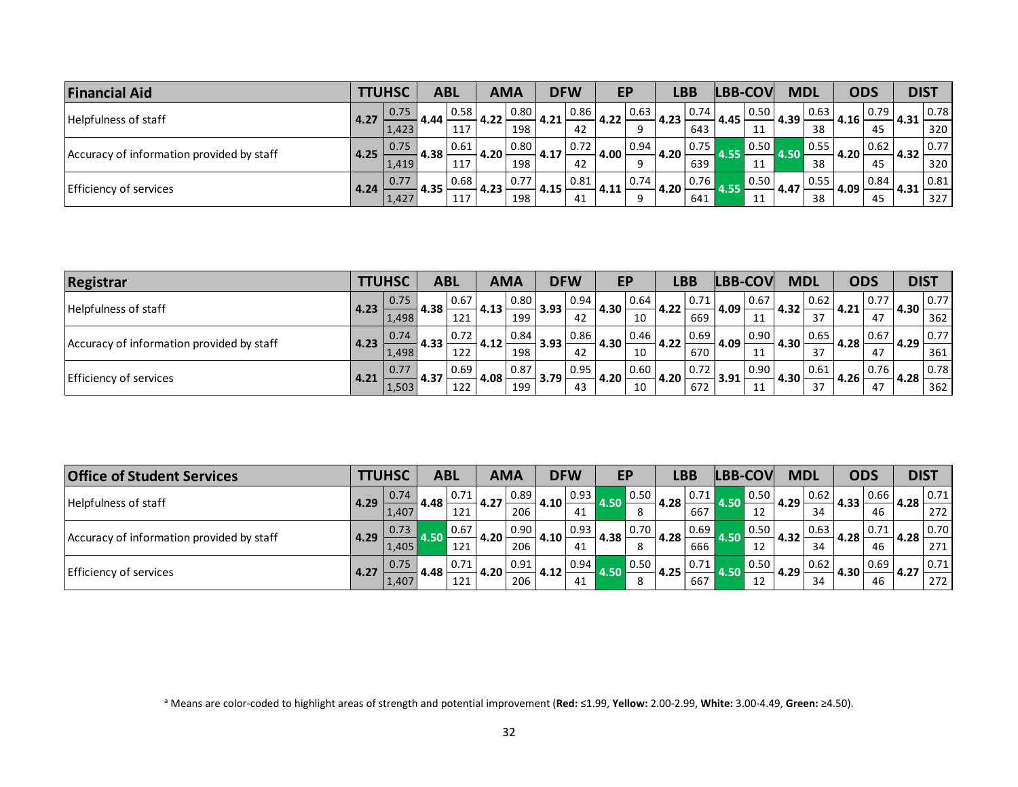| <b>Financial Aid</b>                      |      | TTUHSC       |                    | <b>ABL</b> |      | <b>AMA</b> |      | <b>DFW</b>         |      | EP   | LBB  |                    |      | LBB-COV |      | <b>MDL</b> | <b>ODS</b> |      | <b>DIST</b> |      |
|-------------------------------------------|------|--------------|--------------------|------------|------|------------|------|--------------------|------|------|------|--------------------|------|---------|------|------------|------------|------|-------------|------|
| Helpfulness of staff                      | 4.27 | 0.75<br>4.44 | $\vert 0.58 \vert$ | 4.22       | 0.80 | 4.21       | 0.86 | 4.22               | 0.63 | 4.23 | 0.74 | 4.45               | 0.50 | 4.39    | 0.63 | 4.16       | 0.79       | 4.31 | 0.78        |      |
|                                           |      | 1,423        |                    | 117        |      | 198        |      | 42                 |      | q    |      | 643                |      | 11      |      | 38         |            | 45   |             | 320  |
| Accuracy of information provided by staff | 4.25 | 0.75         | 4.38               | 10.61      | 4.20 | 0.80       | 4.17 | $\vert 0.72 \vert$ | 4.00 | 0.94 | 4.20 | 0.75               |      | 0.50    |      | 0.55       | 4.20       | 0.62 | 4.32        | 0.77 |
|                                           |      | 1.419        |                    | 117        |      | 198        |      | 42                 |      | Q    |      | 639                |      | ᆠ       |      | 38         |            | 45   |             | 320  |
| <b>Efficiency of services</b><br>4.24     |      | 0.77         |                    | 0.68       |      | 0.77       | 4.15 | 0.81               |      | 0.74 |      | $\vert 0.76 \vert$ |      | 0.50    |      | 0.55       |            | 0.84 |             | 0.81 |
|                                           |      | 1,427        | 4.35               | 117        | 4.23 | 198        |      | 41                 | 4.11 | Q    | 4.20 | 641                | 4.53 | 11      | 4.47 | 38         | 4.09       | 45   | 4.31        | 327  |

| <b>Registrar</b>                          |      | <b>TTUHSC</b> | <b>ABL</b> |                    | <b>AMA</b> |      | <b>DFW</b> |                    |      | ЕP   | LBB      |      | LBB-COV |      | <b>MDL</b>        |      | <b>ODS</b> |      | <b>DIST</b> |              |
|-------------------------------------------|------|---------------|------------|--------------------|------------|------|------------|--------------------|------|------|----------|------|---------|------|-------------------|------|------------|------|-------------|--------------|
| Helpfulness of staff                      | 4.23 | 0.75          | 4.38'      | 0.67               | 4.13       | 0.80 | 3.93       | $\vert 0.94 \vert$ | 4.30 | 0.64 | 4.22     | 0.71 | 1.09    | 0.67 | 4.32              | 0.62 | 4.21       | 0.77 | 4.30        | 0.77         |
|                                           |      | 1,498         |            | 121                |            | 199  |            | 42                 |      | 10   |          | 669  |         | 11   |                   | 37   |            | 47   |             | 362          |
| Accuracy of information provided by staff |      | 0.74          |            | $\vert 0.72 \vert$ |            | 0.84 |            | 0.86               |      | 0.46 |          | 0.69 | 4.09    | 0.90 |                   | 0.65 |            | 0.67 | 4.29        | $\vert 0.77$ |
|                                           | 4.23 | 1,498         | 4.33       | 122                | 4.12       | 198  | 3.93       | 42                 | 4.30 | 10   | 14.22    | 670  |         | 11   | 4.30              | 37   | 4.28       | 47   |             | 361          |
| Efficiency of services<br>4.21            |      | 0.77          | 4.37       | $\vert 0.69 \vert$ | 4.08       | 0.87 | $-3.79$    | 0.95               | 4.20 | 0.60 | $4.20 +$ | 0.72 | 13.91   | 0.90 | 4.30 <sub>1</sub> | 0.61 | 4.26       | 0.76 | 4.28        | $\vert$ 0.78 |
|                                           |      | 1,503         |            | 122                |            | 199  |            | 43                 |      | 10   |          | 672  |         | 11   |                   | 37   |            | 47   |             | 362          |

| <b>Office of Student Services</b>         |       | <b>TTUHSC</b> | <b>ABL</b> |        | <b>AMA</b> |      | <b>DFW</b> |                    | EP   |      | LBB  |                    | LBB-COV |      | <b>MDL</b> |      | <b>ODS</b> |      | <b>DIST</b> |      |
|-------------------------------------------|-------|---------------|------------|--------|------------|------|------------|--------------------|------|------|------|--------------------|---------|------|------------|------|------------|------|-------------|------|
| Helpfulness of staff                      | 14.29 | 0.74          | 4.48'      | l 0.71 | 4.27       | 0.89 | 4.10       | $\vert 0.93 \vert$ | 4.50 | 0.50 | 4.28 | $\vert 0.71 \vert$ | 4.50    | 0.50 | 4.29       | 0.62 | 4.33       | 0.66 | 4.28        | 0.71 |
|                                           |       | 1.407         |            | 121    |            | 206  |            | 41                 |      | 8    |      | 667                |         | 12   |            | 34   |            | 46   |             | 272  |
| Accuracy of information provided by staff | 4.29  | 0.73          |            | 0.67   | 4.20       | 0.90 | 14.10      | $\vert 0.93 \vert$ |      | 0.70 |      | 0.69               |         | 0.50 |            | 0.63 |            | 0.71 |             | 0.70 |
|                                           |       | 1,405         | .50        | 121    |            | 206  |            | 41                 | 4.38 |      | 4.28 | 666                |         | 12   | 4.32       | 34   | 4.28       | 46   | 4.28        | 271  |
| <b>Efficiency of services</b>             | 4.27  | 0.75          | 4.48       | 0.71   | 4.20       | 0.91 | 4.12       | 0.94               |      | 0.50 | 4.25 | 0.71               |         | 0.50 | 4.29       | 0.62 | 1.30       | 0.69 | 14.27       | 0.71 |
|                                           |       | 1,407         |            | 121    |            | 206  |            | 41                 |      | -8   |      | 667                |         | 12   |            | 34   |            | 46   |             | 272  |